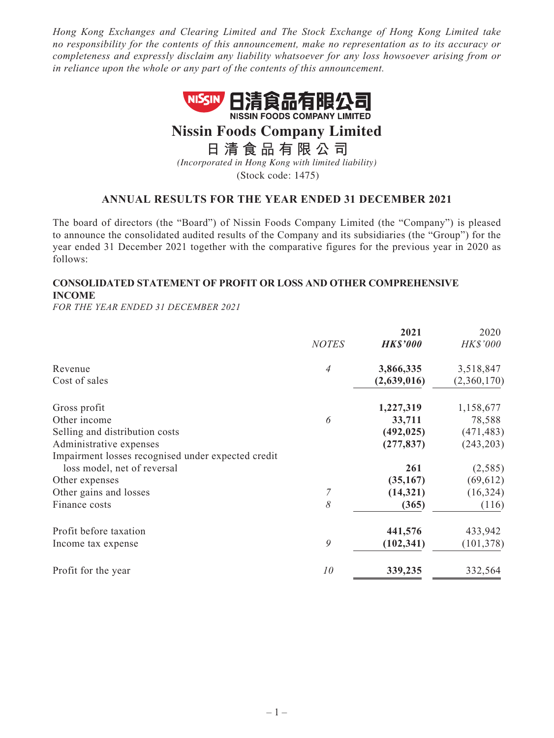*Hong Kong Exchanges and Clearing Limited and The Stock Exchange of Hong Kong Limited take no responsibility for the contents of this announcement, make no representation as to its accuracy or completeness and expressly disclaim any liability whatsoever for any loss howsoever arising from or in reliance upon the whole or any part of the contents of this announcement.*



# **Nissin Foods Company Limited**

**日清食品有限公 司**

*(Incorporated in Hong Kong with limited liability)* (Stock code: 1475)

## **ANNUAL RESULTS FOR THE YEAR ENDED 31 DECEMBER 2021**

The board of directors (the "Board") of Nissin Foods Company Limited (the "Company") is pleased to announce the consolidated audited results of the Company and its subsidiaries (the "Group") for the year ended 31 December 2021 together with the comparative figures for the previous year in 2020 as follows:

## **CONSOLIDATED STATEMENT OF PROFIT OR LOSS AND OTHER COMPREHENSIVE INCOME**

*FOR THE YEAR ENDED 31 DECEMBER 2021*

|                                                    |                | 2021            | 2020        |
|----------------------------------------------------|----------------|-----------------|-------------|
|                                                    | <b>NOTES</b>   | <b>HK\$'000</b> | HK\$'000    |
| Revenue                                            | $\overline{4}$ | 3,866,335       | 3,518,847   |
| Cost of sales                                      |                | (2,639,016)     | (2,360,170) |
| Gross profit                                       |                | 1,227,319       | 1,158,677   |
| Other income                                       | 6              | 33,711          | 78,588      |
| Selling and distribution costs                     |                | (492, 025)      | (471, 483)  |
| Administrative expenses                            |                | (277, 837)      | (243, 203)  |
| Impairment losses recognised under expected credit |                |                 |             |
| loss model, net of reversal                        |                | 261             | (2,585)     |
| Other expenses                                     |                | (35, 167)       | (69, 612)   |
| Other gains and losses                             |                | (14, 321)       | (16, 324)   |
| Finance costs                                      | 8              | (365)           | (116)       |
| Profit before taxation                             |                | 441,576         | 433,942     |
| Income tax expense                                 | 9              | (102, 341)      | (101, 378)  |
| Profit for the year                                | 10             | 339,235         | 332,564     |
|                                                    |                |                 |             |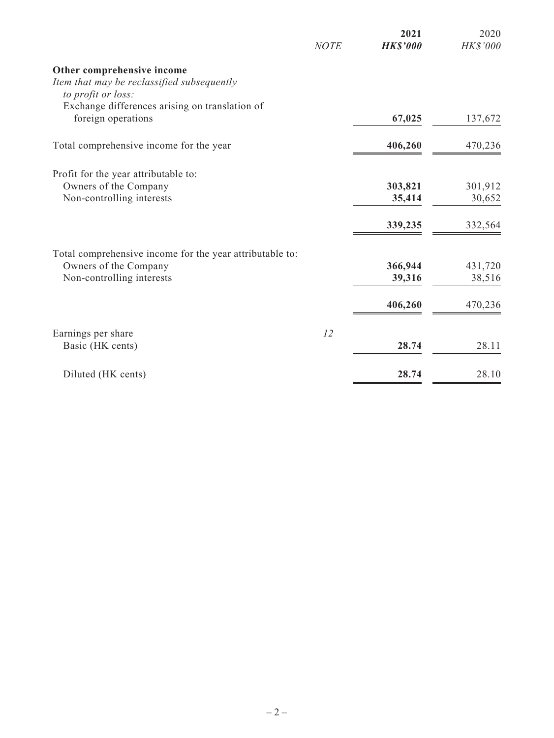|                                                                  | <b>NOTE</b> | 2021<br><b>HK\$'000</b> | 2020<br>HK\$'000 |
|------------------------------------------------------------------|-------------|-------------------------|------------------|
| Other comprehensive income                                       |             |                         |                  |
| Item that may be reclassified subsequently<br>to profit or loss: |             |                         |                  |
| Exchange differences arising on translation of                   |             |                         |                  |
| foreign operations                                               |             | 67,025                  | 137,672          |
| Total comprehensive income for the year                          |             | 406,260                 | 470,236          |
| Profit for the year attributable to:                             |             |                         |                  |
| Owners of the Company                                            |             | 303,821                 | 301,912          |
| Non-controlling interests                                        |             | 35,414                  | 30,652           |
|                                                                  |             | 339,235                 | 332,564          |
| Total comprehensive income for the year attributable to:         |             |                         |                  |
| Owners of the Company                                            |             | 366,944                 | 431,720          |
| Non-controlling interests                                        |             | 39,316                  | 38,516           |
|                                                                  |             | 406,260                 | 470,236          |
| Earnings per share                                               | 12          |                         |                  |
| Basic (HK cents)                                                 |             | 28.74                   | 28.11            |
| Diluted (HK cents)                                               |             | 28.74                   | 28.10            |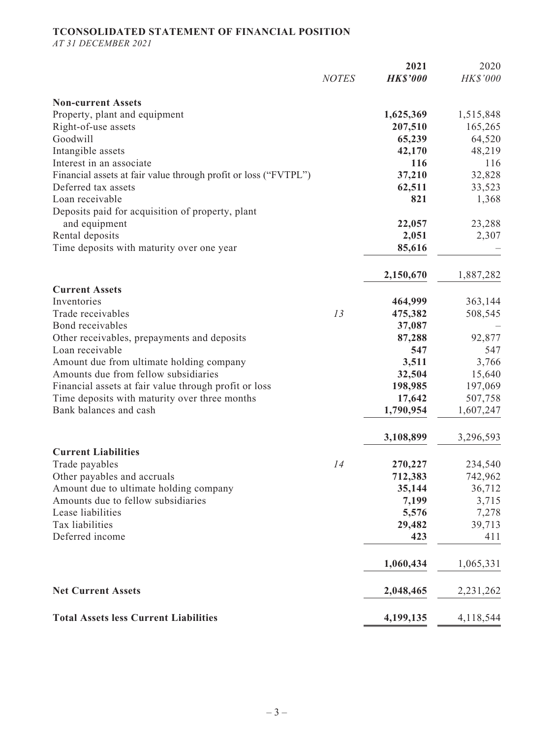## **TCONSOLIDATED STATEMENT OF FINANCIAL POSITION**

*AT 31 DECEMBER 2021*

|                                                                 |              | 2021<br><b>HK\$'000</b> | 2020<br>HK\$'000 |
|-----------------------------------------------------------------|--------------|-------------------------|------------------|
|                                                                 | <b>NOTES</b> |                         |                  |
| <b>Non-current Assets</b>                                       |              |                         |                  |
| Property, plant and equipment                                   |              | 1,625,369               | 1,515,848        |
| Right-of-use assets                                             |              | 207,510                 | 165,265          |
| Goodwill                                                        |              | 65,239                  | 64,520           |
| Intangible assets                                               |              | 42,170                  | 48,219           |
| Interest in an associate                                        |              | 116                     | 116              |
| Financial assets at fair value through profit or loss ("FVTPL") |              | 37,210                  | 32,828           |
| Deferred tax assets                                             |              | 62,511                  | 33,523           |
| Loan receivable                                                 |              | 821                     | 1,368            |
| Deposits paid for acquisition of property, plant                |              |                         |                  |
| and equipment                                                   |              | 22,057                  | 23,288           |
| Rental deposits                                                 |              | 2,051                   | 2,307            |
| Time deposits with maturity over one year                       |              | 85,616                  |                  |
|                                                                 |              | 2,150,670               | 1,887,282        |
| <b>Current Assets</b>                                           |              |                         |                  |
| Inventories                                                     |              | 464,999                 | 363,144          |
| Trade receivables                                               | 13           | 475,382                 | 508,545          |
| Bond receivables                                                |              | 37,087                  |                  |
| Other receivables, prepayments and deposits                     |              | 87,288                  | 92,877           |
| Loan receivable                                                 |              | 547                     | 547              |
| Amount due from ultimate holding company                        |              | 3,511                   | 3,766            |
| Amounts due from fellow subsidiaries                            |              | 32,504                  | 15,640           |
| Financial assets at fair value through profit or loss           |              | 198,985                 | 197,069          |
| Time deposits with maturity over three months                   |              | 17,642                  | 507,758          |
| Bank balances and cash                                          |              | 1,790,954               | 1,607,247        |
|                                                                 |              |                         |                  |
|                                                                 |              | 3,108,899               | 3,296,593        |
| <b>Current Liabilities</b>                                      |              |                         |                  |
| Trade payables                                                  | 14           | 270,227                 | 234,540          |
| Other payables and accruals                                     |              | 712,383                 | 742,962          |
| Amount due to ultimate holding company                          |              | 35,144                  | 36,712           |
| Amounts due to fellow subsidiaries                              |              | 7,199                   | 3,715            |
| Lease liabilities                                               |              | 5,576                   | 7,278            |
| Tax liabilities                                                 |              | 29,482                  | 39,713           |
| Deferred income                                                 |              | 423                     | 411              |
|                                                                 |              | 1,060,434               | 1,065,331        |
| <b>Net Current Assets</b>                                       |              | 2,048,465               | 2,231,262        |
| <b>Total Assets less Current Liabilities</b>                    |              | 4,199,135               | 4,118,544        |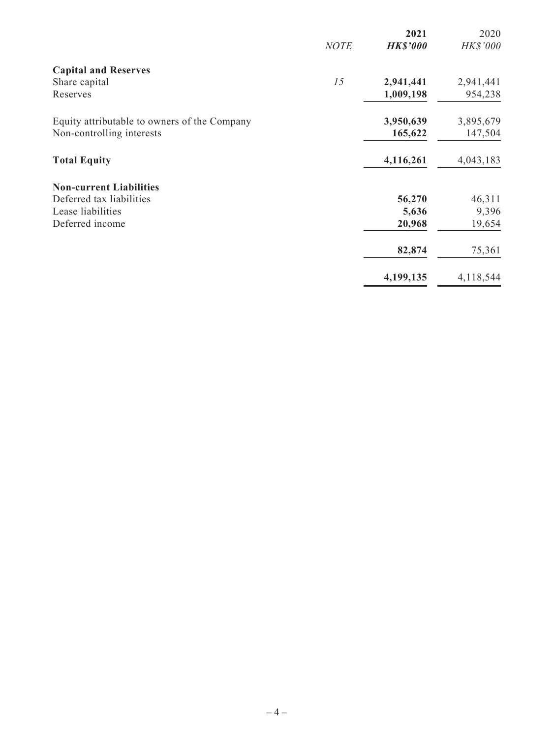|                                              | <b>NOTE</b> | 2021<br><b>HK\$'000</b> | 2020<br><b>HK\$'000</b> |
|----------------------------------------------|-------------|-------------------------|-------------------------|
| <b>Capital and Reserves</b>                  |             |                         |                         |
| Share capital                                | 15          | 2,941,441               | 2,941,441               |
| Reserves                                     |             | 1,009,198               | 954,238                 |
| Equity attributable to owners of the Company |             | 3,950,639               | 3,895,679               |
| Non-controlling interests                    |             | 165,622                 | 147,504                 |
| <b>Total Equity</b>                          |             | 4,116,261               | 4,043,183               |
| <b>Non-current Liabilities</b>               |             |                         |                         |
| Deferred tax liabilities                     |             | 56,270                  | 46,311                  |
| Lease liabilities                            |             | 5,636                   | 9,396                   |
| Deferred income                              |             | 20,968                  | 19,654                  |
|                                              |             | 82,874                  | 75,361                  |
|                                              |             | 4,199,135               | 4,118,544               |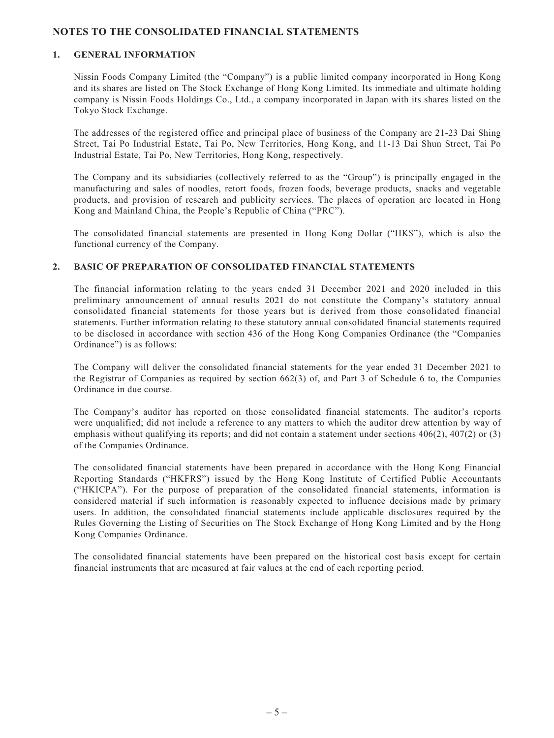## **NOTES TO THE CONSOLIDATED FINANCIAL STATEMENTS**

#### **1. GENERAL INFORMATION**

Nissin Foods Company Limited (the "Company") is a public limited company incorporated in Hong Kong and its shares are listed on The Stock Exchange of Hong Kong Limited. Its immediate and ultimate holding company is Nissin Foods Holdings Co., Ltd., a company incorporated in Japan with its shares listed on the Tokyo Stock Exchange.

The addresses of the registered office and principal place of business of the Company are 21-23 Dai Shing Street, Tai Po Industrial Estate, Tai Po, New Territories, Hong Kong, and 11-13 Dai Shun Street, Tai Po Industrial Estate, Tai Po, New Territories, Hong Kong, respectively.

The Company and its subsidiaries (collectively referred to as the "Group") is principally engaged in the manufacturing and sales of noodles, retort foods, frozen foods, beverage products, snacks and vegetable products, and provision of research and publicity services. The places of operation are located in Hong Kong and Mainland China, the People's Republic of China ("PRC").

The consolidated financial statements are presented in Hong Kong Dollar ("HK\$"), which is also the functional currency of the Company.

#### **2. BASIC OF PREPARATION OF CONSOLIDATED FINANCIAL STATEMENTS**

The financial information relating to the years ended 31 December 2021 and 2020 included in this preliminary announcement of annual results 2021 do not constitute the Company's statutory annual consolidated financial statements for those years but is derived from those consolidated financial statements. Further information relating to these statutory annual consolidated financial statements required to be disclosed in accordance with section 436 of the Hong Kong Companies Ordinance (the "Companies Ordinance") is as follows:

The Company will deliver the consolidated financial statements for the year ended 31 December 2021 to the Registrar of Companies as required by section 662(3) of, and Part 3 of Schedule 6 to, the Companies Ordinance in due course.

The Company's auditor has reported on those consolidated financial statements. The auditor's reports were unqualified; did not include a reference to any matters to which the auditor drew attention by way of emphasis without qualifying its reports; and did not contain a statement under sections 406(2), 407(2) or (3) of the Companies Ordinance.

The consolidated financial statements have been prepared in accordance with the Hong Kong Financial Reporting Standards ("HKFRS") issued by the Hong Kong Institute of Certified Public Accountants ("HKICPA"). For the purpose of preparation of the consolidated financial statements, information is considered material if such information is reasonably expected to influence decisions made by primary users. In addition, the consolidated financial statements include applicable disclosures required by the Rules Governing the Listing of Securities on The Stock Exchange of Hong Kong Limited and by the Hong Kong Companies Ordinance.

The consolidated financial statements have been prepared on the historical cost basis except for certain financial instruments that are measured at fair values at the end of each reporting period.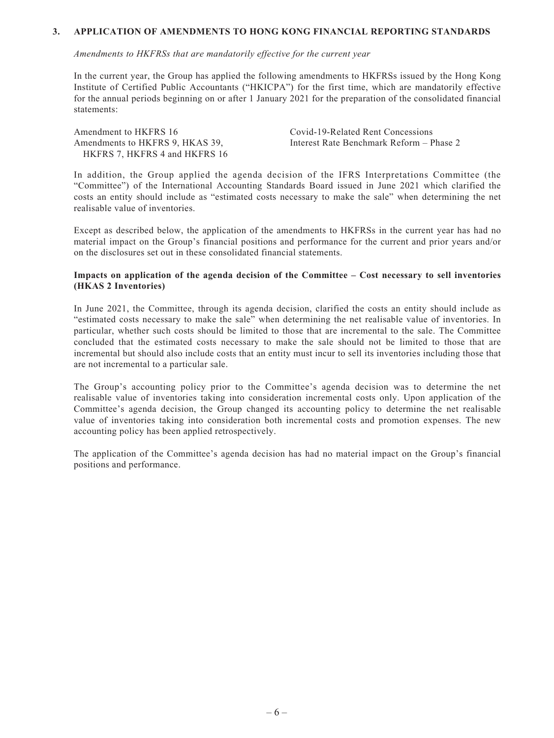#### **3. APPLICATION OF AMENDMENTS TO HONG KONG FINANCIAL REPORTING STANDARDS**

*Amendments to HKFRSs that are mandatorily effective for the current year*

In the current year, the Group has applied the following amendments to HKFRSs issued by the Hong Kong Institute of Certified Public Accountants ("HKICPA") for the first time, which are mandatorily effective for the annual periods beginning on or after 1 January 2021 for the preparation of the consolidated financial statements:

Amendment to HKFRS 16 Covid-19-Related Rent Concessions Amendments to HKFRS 9, HKAS 39, HKFRS 7, HKFRS 4 and HKFRS 16

Interest Rate Benchmark Reform – Phase 2

In addition, the Group applied the agenda decision of the IFRS Interpretations Committee (the "Committee") of the International Accounting Standards Board issued in June 2021 which clarified the costs an entity should include as "estimated costs necessary to make the sale" when determining the net realisable value of inventories.

Except as described below, the application of the amendments to HKFRSs in the current year has had no material impact on the Group's financial positions and performance for the current and prior years and/or on the disclosures set out in these consolidated financial statements.

#### **Impacts on application of the agenda decision of the Committee – Cost necessary to sell inventories (HKAS 2 Inventories)**

In June 2021, the Committee, through its agenda decision, clarified the costs an entity should include as "estimated costs necessary to make the sale" when determining the net realisable value of inventories. In particular, whether such costs should be limited to those that are incremental to the sale. The Committee concluded that the estimated costs necessary to make the sale should not be limited to those that are incremental but should also include costs that an entity must incur to sell its inventories including those that are not incremental to a particular sale.

The Group's accounting policy prior to the Committee's agenda decision was to determine the net realisable value of inventories taking into consideration incremental costs only. Upon application of the Committee's agenda decision, the Group changed its accounting policy to determine the net realisable value of inventories taking into consideration both incremental costs and promotion expenses. The new accounting policy has been applied retrospectively.

The application of the Committee's agenda decision has had no material impact on the Group's financial positions and performance.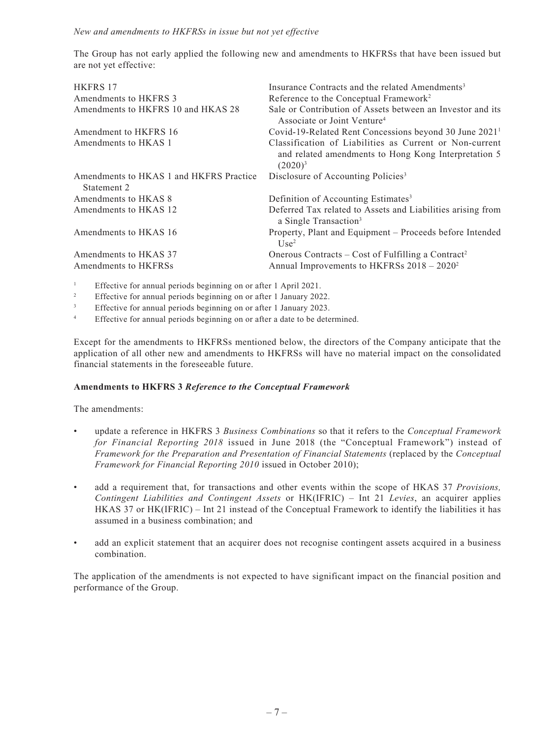The Group has not early applied the following new and amendments to HKFRSs that have been issued but are not yet effective:

| HKFRS 17                                               | Insurance Contracts and the related Amendments <sup>3</sup>                                                                   |
|--------------------------------------------------------|-------------------------------------------------------------------------------------------------------------------------------|
| Amendments to HKFRS 3                                  | Reference to the Conceptual Framework <sup>2</sup>                                                                            |
| Amendments to HKFRS 10 and HKAS 28                     | Sale or Contribution of Assets between an Investor and its<br>Associate or Joint Venture <sup>4</sup>                         |
| Amendment to HKFRS 16                                  | Covid-19-Related Rent Concessions beyond 30 June 2021 <sup>1</sup>                                                            |
| Amendments to HKAS 1                                   | Classification of Liabilities as Current or Non-current<br>and related amendments to Hong Kong Interpretation 5<br>$(2020)^3$ |
| Amendments to HKAS 1 and HKFRS Practice<br>Statement 2 | Disclosure of Accounting Policies <sup>3</sup>                                                                                |
| Amendments to HKAS 8                                   | Definition of Accounting Estimates <sup>3</sup>                                                                               |
| Amendments to HKAS 12                                  | Deferred Tax related to Assets and Liabilities arising from<br>a Single Transaction <sup>3</sup>                              |
| Amendments to HKAS 16                                  | Property, Plant and Equipment – Proceeds before Intended<br>Use <sup>2</sup>                                                  |
| Amendments to HKAS 37                                  | Onerous Contracts – Cost of Fulfilling a Contract <sup>2</sup>                                                                |
| Amendments to HKFRSs                                   | Annual Improvements to HKFRSs 2018 - 2020 <sup>2</sup>                                                                        |
|                                                        |                                                                                                                               |

<sup>1</sup> Effective for annual periods beginning on or after 1 April 2021.

<sup>2</sup> Effective for annual periods beginning on or after 1 January 2022.

<sup>3</sup> Effective for annual periods beginning on or after 1 January 2023.

<sup>4</sup> Effective for annual periods beginning on or after a date to be determined.

Except for the amendments to HKFRSs mentioned below, the directors of the Company anticipate that the application of all other new and amendments to HKFRSs will have no material impact on the consolidated financial statements in the foreseeable future.

#### **Amendments to HKFRS 3** *Reference to the Conceptual Framework*

The amendments:

- update a reference in HKFRS 3 *Business Combinations* so that it refers to the *Conceptual Framework for Financial Reporting 2018* issued in June 2018 (the "Conceptual Framework") instead of *Framework for the Preparation and Presentation of Financial Statements* (replaced by the *Conceptual Framework for Financial Reporting 2010* issued in October 2010);
- add a requirement that, for transactions and other events within the scope of HKAS 37 *Provisions, Contingent Liabilities and Contingent Assets* or HK(IFRIC) – Int 21 *Levies*, an acquirer applies HKAS 37 or HK(IFRIC) – Int 21 instead of the Conceptual Framework to identify the liabilities it has assumed in a business combination; and
- add an explicit statement that an acquirer does not recognise contingent assets acquired in a business combination.

The application of the amendments is not expected to have significant impact on the financial position and performance of the Group.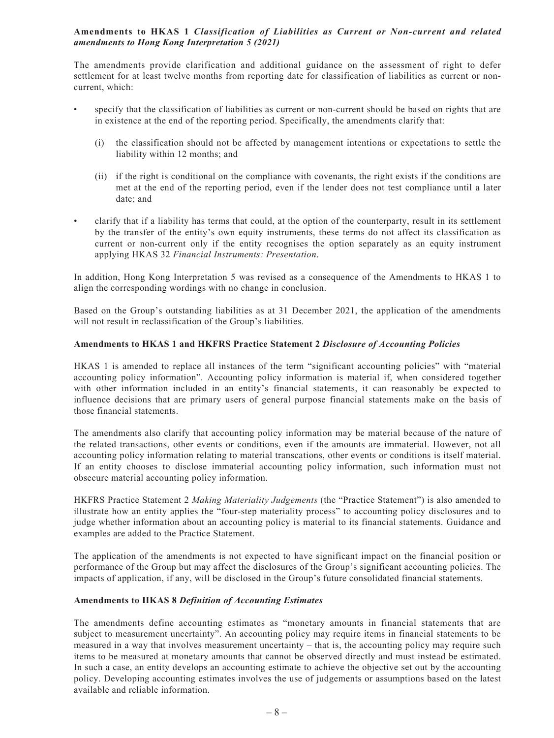## **Amendments to HKAS 1** *Classification of Liabilities as Current or Non-current and related amendments to Hong Kong Interpretation 5 (2021)*

The amendments provide clarification and additional guidance on the assessment of right to defer settlement for at least twelve months from reporting date for classification of liabilities as current or noncurrent, which:

- specify that the classification of liabilities as current or non-current should be based on rights that are in existence at the end of the reporting period. Specifically, the amendments clarify that:
	- (i) the classification should not be affected by management intentions or expectations to settle the liability within 12 months; and
	- (ii) if the right is conditional on the compliance with covenants, the right exists if the conditions are met at the end of the reporting period, even if the lender does not test compliance until a later date; and
- clarify that if a liability has terms that could, at the option of the counterparty, result in its settlement by the transfer of the entity's own equity instruments, these terms do not affect its classification as current or non-current only if the entity recognises the option separately as an equity instrument applying HKAS 32 *Financial Instruments: Presentation*.

In addition, Hong Kong Interpretation 5 was revised as a consequence of the Amendments to HKAS 1 to align the corresponding wordings with no change in conclusion.

Based on the Group's outstanding liabilities as at 31 December 2021, the application of the amendments will not result in reclassification of the Group's liabilities.

#### **Amendments to HKAS 1 and HKFRS Practice Statement 2** *Disclosure of Accounting Policies*

HKAS 1 is amended to replace all instances of the term "significant accounting policies" with "material accounting policy information". Accounting policy information is material if, when considered together with other information included in an entity's financial statements, it can reasonably be expected to influence decisions that are primary users of general purpose financial statements make on the basis of those financial statements.

The amendments also clarify that accounting policy information may be material because of the nature of the related transactions, other events or conditions, even if the amounts are immaterial. However, not all accounting policy information relating to material transcations, other events or conditions is itself material. If an entity chooses to disclose immaterial accounting policy information, such information must not obsecure material accounting policy information.

HKFRS Practice Statement 2 *Making Materiality Judgements* (the "Practice Statement") is also amended to illustrate how an entity applies the "four-step materiality process" to accounting policy disclosures and to judge whether information about an accounting policy is material to its financial statements. Guidance and examples are added to the Practice Statement.

The application of the amendments is not expected to have significant impact on the financial position or performance of the Group but may affect the disclosures of the Group's significant accounting policies. The impacts of application, if any, will be disclosed in the Group's future consolidated financial statements.

#### **Amendments to HKAS 8** *Definition of Accounting Estimates*

The amendments define accounting estimates as "monetary amounts in financial statements that are subject to measurement uncertainty". An accounting policy may require items in financial statements to be measured in a way that involves measurement uncertainty – that is, the accounting policy may require such items to be measured at monetary amounts that cannot be observed directly and must instead be estimated. In such a case, an entity develops an accounting estimate to achieve the objective set out by the accounting policy. Developing accounting estimates involves the use of judgements or assumptions based on the latest available and reliable information.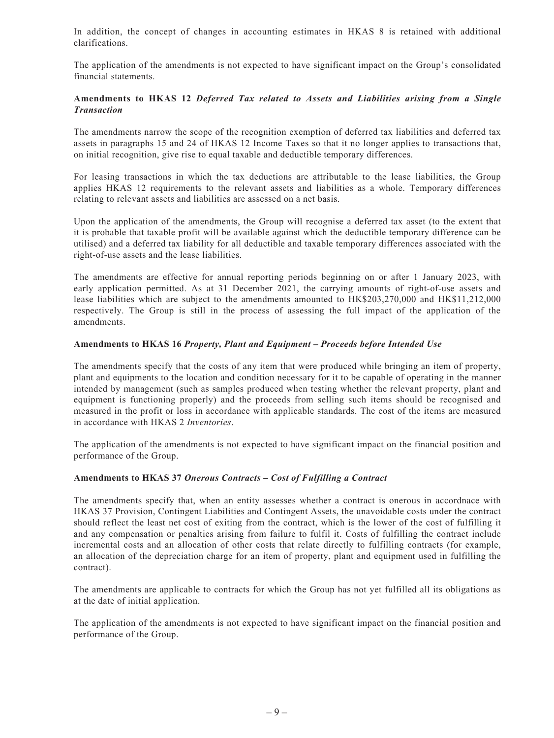In addition, the concept of changes in accounting estimates in HKAS 8 is retained with additional clarifications.

The application of the amendments is not expected to have significant impact on the Group's consolidated financial statements.

#### **Amendments to HKAS 12** *Deferred Tax related to Assets and Liabilities arising from a Single Transaction*

The amendments narrow the scope of the recognition exemption of deferred tax liabilities and deferred tax assets in paragraphs 15 and 24 of HKAS 12 Income Taxes so that it no longer applies to transactions that, on initial recognition, give rise to equal taxable and deductible temporary differences.

For leasing transactions in which the tax deductions are attributable to the lease liabilities, the Group applies HKAS 12 requirements to the relevant assets and liabilities as a whole. Temporary differences relating to relevant assets and liabilities are assessed on a net basis.

Upon the application of the amendments, the Group will recognise a deferred tax asset (to the extent that it is probable that taxable profit will be available against which the deductible temporary difference can be utilised) and a deferred tax liability for all deductible and taxable temporary differences associated with the right-of-use assets and the lease liabilities.

The amendments are effective for annual reporting periods beginning on or after 1 January 2023, with early application permitted. As at 31 December 2021, the carrying amounts of right-of-use assets and lease liabilities which are subject to the amendments amounted to HK\$203,270,000 and HK\$11,212,000 respectively. The Group is still in the process of assessing the full impact of the application of the amendments.

#### **Amendments to HKAS 16** *Property, Plant and Equipment – Proceeds before Intended Use*

The amendments specify that the costs of any item that were produced while bringing an item of property, plant and equipments to the location and condition necessary for it to be capable of operating in the manner intended by management (such as samples produced when testing whether the relevant property, plant and equipment is functioning properly) and the proceeds from selling such items should be recognised and measured in the profit or loss in accordance with applicable standards. The cost of the items are measured in accordance with HKAS 2 *Inventories*.

The application of the amendments is not expected to have significant impact on the financial position and performance of the Group.

#### **Amendments to HKAS 37** *Onerous Contracts – Cost of Fulfilling a Contract*

The amendments specify that, when an entity assesses whether a contract is onerous in accordnace with HKAS 37 Provision, Contingent Liabilities and Contingent Assets, the unavoidable costs under the contract should reflect the least net cost of exiting from the contract, which is the lower of the cost of fulfilling it and any compensation or penalties arising from failure to fulfil it. Costs of fulfilling the contract include incremental costs and an allocation of other costs that relate directly to fulfilling contracts (for example, an allocation of the depreciation charge for an item of property, plant and equipment used in fulfilling the contract).

The amendments are applicable to contracts for which the Group has not yet fulfilled all its obligations as at the date of initial application.

The application of the amendments is not expected to have significant impact on the financial position and performance of the Group.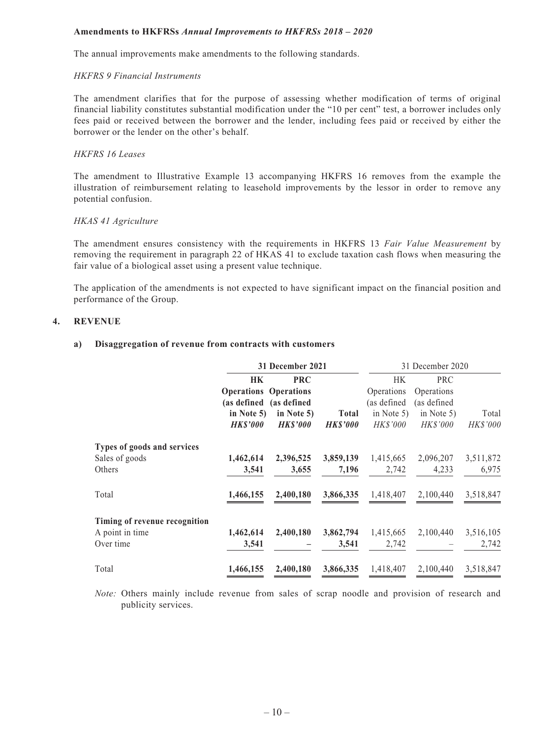#### **Amendments to HKFRSs** *Annual Improvements to HKFRSs 2018 – 2020*

The annual improvements make amendments to the following standards.

#### *HKFRS 9 Financial Instruments*

The amendment clarifies that for the purpose of assessing whether modification of terms of original financial liability constitutes substantial modification under the "10 per cent" test, a borrower includes only fees paid or received between the borrower and the lender, including fees paid or received by either the borrower or the lender on the other's behalf.

#### *HKFRS 16 Leases*

The amendment to Illustrative Example 13 accompanying HKFRS 16 removes from the example the illustration of reimbursement relating to leasehold improvements by the lessor in order to remove any potential confusion.

#### *HKAS 41 Agriculture*

The amendment ensures consistency with the requirements in HKFRS 13 *Fair Value Measurement* by removing the requirement in paragraph 22 of HKAS 41 to exclude taxation cash flows when measuring the fair value of a biological asset using a present value technique.

The application of the amendments is not expected to have significant impact on the financial position and performance of the Group.

#### **4. REVENUE**

#### **a) Disaggregation of revenue from contracts with customers**

|                               | 31 December 2021             |                |                 | 31 December 2020 |                 |                 |
|-------------------------------|------------------------------|----------------|-----------------|------------------|-----------------|-----------------|
|                               | <b>HK</b>                    | <b>PRC</b>     |                 | <b>HK</b>        | <b>PRC</b>      |                 |
|                               | <b>Operations Operations</b> |                |                 | Operations       | Operations      |                 |
|                               | (as defined (as defined      |                |                 | (as defined)     | (as defined     |                 |
|                               | in Note 5)                   | in Note 5)     | <b>Total</b>    | in Note $5)$     | in Note 5)      | Total           |
|                               | <b>HK\$'000</b>              | <b>HKS'000</b> | <b>HK\$'000</b> | <i>HK\$'000</i>  | <b>HK\$'000</b> | <b>HK\$'000</b> |
| Types of goods and services   |                              |                |                 |                  |                 |                 |
| Sales of goods                | 1,462,614                    | 2,396,525      | 3,859,139       | 1,415,665        | 2,096,207       | 3,511,872       |
| Others                        | 3,541                        | 3,655          | 7,196           | 2,742            | 4,233           | 6,975           |
| Total                         | 1,466,155                    | 2,400,180      | 3,866,335       | 1,418,407        | 2,100,440       | 3,518,847       |
| Timing of revenue recognition |                              |                |                 |                  |                 |                 |
| A point in time               | 1,462,614                    | 2,400,180      | 3,862,794       | 1,415,665        | 2,100,440       | 3,516,105       |
| Over time                     | 3,541                        |                | 3,541           | 2,742            |                 | 2,742           |
| Total                         | 1,466,155                    | 2,400,180      | 3,866,335       | 1,418,407        | 2,100,440       | 3,518,847       |

*Note:* Others mainly include revenue from sales of scrap noodle and provision of research and publicity services.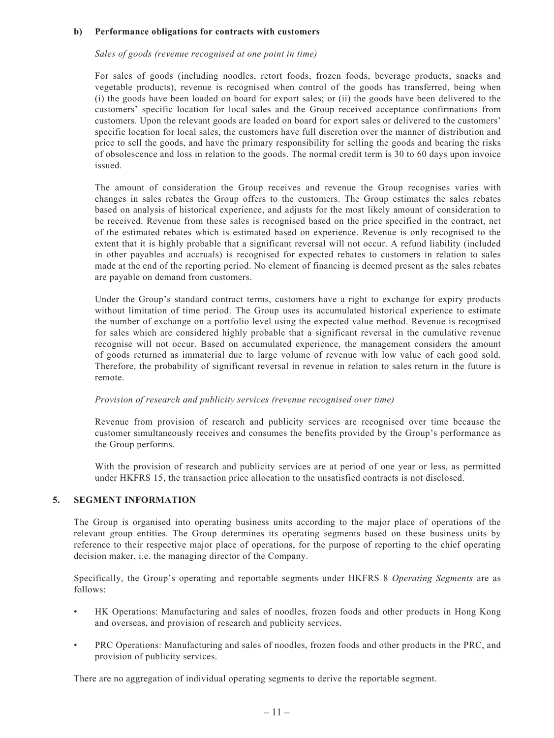#### **b) Performance obligations for contracts with customers**

#### *Sales of goods (revenue recognised at one point in time)*

For sales of goods (including noodles, retort foods, frozen foods, beverage products, snacks and vegetable products), revenue is recognised when control of the goods has transferred, being when (i) the goods have been loaded on board for export sales; or (ii) the goods have been delivered to the customers' specific location for local sales and the Group received acceptance confirmations from customers. Upon the relevant goods are loaded on board for export sales or delivered to the customers' specific location for local sales, the customers have full discretion over the manner of distribution and price to sell the goods, and have the primary responsibility for selling the goods and bearing the risks of obsolescence and loss in relation to the goods. The normal credit term is 30 to 60 days upon invoice issued.

The amount of consideration the Group receives and revenue the Group recognises varies with changes in sales rebates the Group offers to the customers. The Group estimates the sales rebates based on analysis of historical experience, and adjusts for the most likely amount of consideration to be received. Revenue from these sales is recognised based on the price specified in the contract, net of the estimated rebates which is estimated based on experience. Revenue is only recognised to the extent that it is highly probable that a significant reversal will not occur. A refund liability (included in other payables and accruals) is recognised for expected rebates to customers in relation to sales made at the end of the reporting period. No element of financing is deemed present as the sales rebates are payable on demand from customers.

Under the Group's standard contract terms, customers have a right to exchange for expiry products without limitation of time period. The Group uses its accumulated historical experience to estimate the number of exchange on a portfolio level using the expected value method. Revenue is recognised for sales which are considered highly probable that a significant reversal in the cumulative revenue recognise will not occur. Based on accumulated experience, the management considers the amount of goods returned as immaterial due to large volume of revenue with low value of each good sold. Therefore, the probability of significant reversal in revenue in relation to sales return in the future is remote.

#### *Provision of research and publicity services (revenue recognised over time)*

Revenue from provision of research and publicity services are recognised over time because the customer simultaneously receives and consumes the benefits provided by the Group's performance as the Group performs.

With the provision of research and publicity services are at period of one year or less, as permitted under HKFRS 15, the transaction price allocation to the unsatisfied contracts is not disclosed.

#### **5. SEGMENT INFORMATION**

The Group is organised into operating business units according to the major place of operations of the relevant group entities. The Group determines its operating segments based on these business units by reference to their respective major place of operations, for the purpose of reporting to the chief operating decision maker, i.e. the managing director of the Company.

Specifically, the Group's operating and reportable segments under HKFRS 8 *Operating Segments* are as follows:

- HK Operations: Manufacturing and sales of noodles, frozen foods and other products in Hong Kong and overseas, and provision of research and publicity services.
- PRC Operations: Manufacturing and sales of noodles, frozen foods and other products in the PRC, and provision of publicity services.

There are no aggregation of individual operating segments to derive the reportable segment.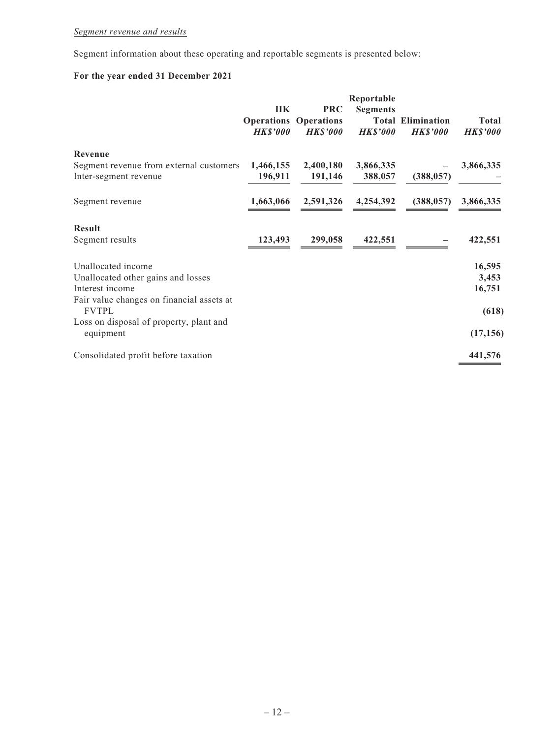## *Segment revenue and results*

Segment information about these operating and reportable segments is presented below:

## **For the year ended 31 December 2021**

|                                                                  | <b>HK</b><br><b>HK\$'000</b> | <b>PRC</b><br><b>Operations Operations</b><br><b>HK\$'000</b> | Reportable<br><b>Segments</b><br><b>HK\$'000</b> | <b>Total Elimination</b><br><b>HK\$'000</b> | Total<br><b>HK\$'000</b> |
|------------------------------------------------------------------|------------------------------|---------------------------------------------------------------|--------------------------------------------------|---------------------------------------------|--------------------------|
| Revenue                                                          |                              |                                                               |                                                  |                                             |                          |
| Segment revenue from external customers<br>Inter-segment revenue | 1,466,155<br>196,911         | 2,400,180<br>191,146                                          | 3,866,335<br>388,057                             | (388, 057)                                  | 3,866,335                |
| Segment revenue                                                  | 1,663,066                    | 2,591,326                                                     | 4,254,392                                        | (388, 057)                                  | 3,866,335                |
| <b>Result</b>                                                    |                              |                                                               |                                                  |                                             |                          |
| Segment results                                                  | 123,493                      | 299,058                                                       | 422,551                                          |                                             | 422,551                  |
| Unallocated income                                               |                              |                                                               |                                                  |                                             | 16,595                   |
| Unallocated other gains and losses                               |                              |                                                               |                                                  |                                             | 3,453                    |
| Interest income                                                  |                              |                                                               |                                                  |                                             | 16,751                   |
| Fair value changes on financial assets at<br><b>FVTPL</b>        |                              |                                                               |                                                  |                                             | (618)                    |
| Loss on disposal of property, plant and<br>equipment             |                              |                                                               |                                                  |                                             | (17, 156)                |
| Consolidated profit before taxation                              |                              |                                                               |                                                  |                                             | 441,576                  |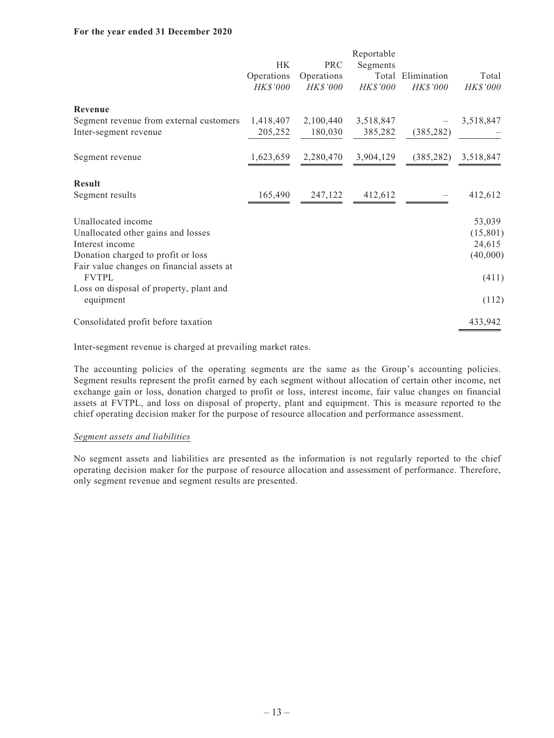#### **For the year ended 31 December 2020**

|                                                           |                 |            | Reportable |             |           |
|-----------------------------------------------------------|-----------------|------------|------------|-------------|-----------|
|                                                           | <b>HK</b>       | <b>PRC</b> | Segments   |             |           |
|                                                           | Operations      | Operations | Total      | Elimination | Total     |
|                                                           | <i>HK\$'000</i> | HK\$'000   | HK\$'000   | HK\$'000    | HK\$'000  |
| <b>Revenue</b>                                            |                 |            |            |             |           |
| Segment revenue from external customers                   | 1,418,407       | 2,100,440  | 3,518,847  |             | 3,518,847 |
| Inter-segment revenue                                     | 205,252         | 180,030    | 385,282    | (385, 282)  |           |
|                                                           |                 |            |            |             |           |
| Segment revenue                                           | 1,623,659       | 2,280,470  | 3,904,129  | (385, 282)  | 3,518,847 |
| <b>Result</b>                                             |                 |            |            |             |           |
| Segment results                                           | 165,490         | 247,122    | 412,612    |             | 412,612   |
| Unallocated income                                        |                 |            |            |             | 53,039    |
| Unallocated other gains and losses                        |                 |            |            |             | (15, 801) |
| Interest income                                           |                 |            |            |             | 24,615    |
| Donation charged to profit or loss                        |                 |            |            |             | (40,000)  |
| Fair value changes on financial assets at<br><b>FVTPL</b> |                 |            |            |             | (411)     |
| Loss on disposal of property, plant and                   |                 |            |            |             |           |
| equipment                                                 |                 |            |            |             | (112)     |
| Consolidated profit before taxation                       |                 |            |            |             | 433,942   |

Inter-segment revenue is charged at prevailing market rates.

The accounting policies of the operating segments are the same as the Group's accounting policies. Segment results represent the profit earned by each segment without allocation of certain other income, net exchange gain or loss, donation charged to profit or loss, interest income, fair value changes on financial assets at FVTPL, and loss on disposal of property, plant and equipment. This is measure reported to the chief operating decision maker for the purpose of resource allocation and performance assessment.

#### *Segment assets and liabilities*

No segment assets and liabilities are presented as the information is not regularly reported to the chief operating decision maker for the purpose of resource allocation and assessment of performance. Therefore, only segment revenue and segment results are presented.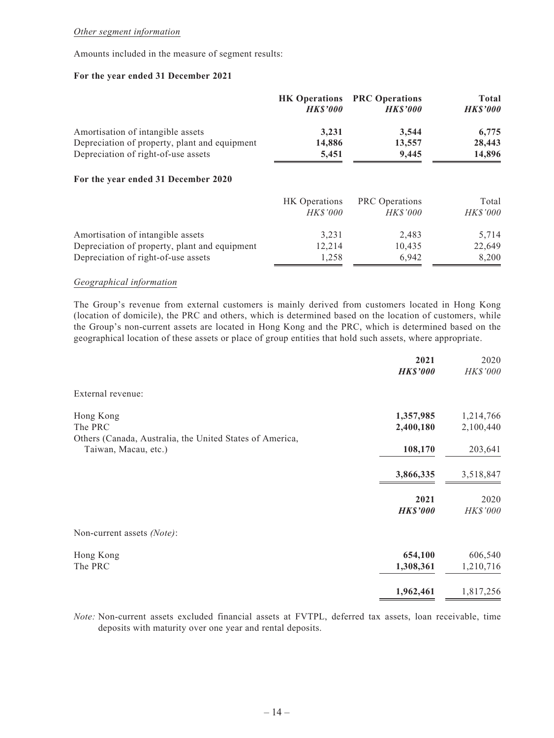#### *Other segment information*

Amounts included in the measure of segment results:

#### **For the year ended 31 December 2021**

|                                               | <b>HK Operations</b><br><b>HKS'000</b> | <b>PRC Operations</b><br><b>HKS'000</b> | Total<br><b>HK\$'000</b> |
|-----------------------------------------------|----------------------------------------|-----------------------------------------|--------------------------|
| Amortisation of intangible assets             | 3,231                                  | 3,544                                   | 6,775                    |
| Depreciation of property, plant and equipment | 14,886                                 | 13,557                                  | 28,443                   |
| Depreciation of right-of-use assets           | 5,451                                  | 9,445                                   | 14,896                   |
| For the year ended 31 December 2020           |                                        |                                         |                          |
|                                               | <b>HK</b> Operations                   | <b>PRC</b> Operations                   | Total                    |
|                                               | <b>HKS'000</b>                         | <b>HKS'000</b>                          | <i>HK\$'000</i>          |
| Amortisation of intangible assets             | 3,231                                  | 2,483                                   | 5,714                    |
| Depreciation of property, plant and equipment | 12,214                                 | 10,435                                  | 22,649                   |
| Depreciation of right-of-use assets           | 1,258                                  | 6,942                                   | 8,200                    |

#### *Geographical information*

The Group's revenue from external customers is mainly derived from customers located in Hong Kong (location of domicile), the PRC and others, which is determined based on the location of customers, while the Group's non-current assets are located in Hong Kong and the PRC, which is determined based on the geographical location of these assets or place of group entities that hold such assets, where appropriate.

|                                                          | 2021<br><b>HK\$'000</b> | 2020<br>HK\$'000 |
|----------------------------------------------------------|-------------------------|------------------|
| External revenue:                                        |                         |                  |
| Hong Kong                                                | 1,357,985               | 1,214,766        |
| The PRC                                                  | 2,400,180               | 2,100,440        |
| Others (Canada, Australia, the United States of America, |                         |                  |
| Taiwan, Macau, etc.)                                     | 108,170                 | 203,641          |
|                                                          |                         |                  |
|                                                          | 3,866,335               | 3,518,847        |
|                                                          |                         |                  |
|                                                          | 2021                    | 2020             |
|                                                          | <b>HK\$'000</b>         | HK\$'000         |
|                                                          |                         |                  |
| Non-current assets (Note):                               |                         |                  |
| Hong Kong                                                | 654,100                 | 606,540          |
| The PRC                                                  | 1,308,361               | 1,210,716        |
|                                                          |                         |                  |
|                                                          | 1,962,461               | 1,817,256        |
|                                                          |                         |                  |

*Note:* Non-current assets excluded financial assets at FVTPL, deferred tax assets, loan receivable, time deposits with maturity over one year and rental deposits.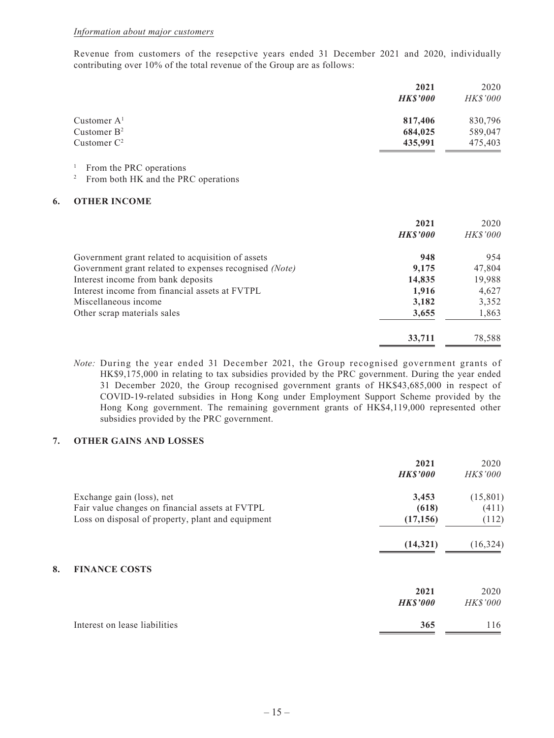Revenue from customers of the resepctive years ended 31 December 2021 and 2020, individually contributing over 10% of the total revenue of the Group are as follows:

|                | 2021           | 2020            |
|----------------|----------------|-----------------|
|                | <b>HKS'000</b> | <b>HK\$'000</b> |
| Customer $A1$  | 817,406        | 830,796         |
| Customer $B^2$ | 684,025        | 589,047         |
| Customer $C^2$ | 435,991        | 475,403         |

<sup>1</sup> From the PRC operations

<sup>2</sup> From both HK and the PRC operations

#### **6. OTHER INCOME**

|                                                        | 2021<br><b>HK\$'000</b> | 2020<br><b>HK\$'000</b> |
|--------------------------------------------------------|-------------------------|-------------------------|
| Government grant related to acquisition of assets      | 948                     | 954                     |
| Government grant related to expenses recognised (Note) | 9,175                   | 47,804                  |
| Interest income from bank deposits                     | 14,835                  | 19,988                  |
| Interest income from financial assets at FVTPL         | 1,916                   | 4,627                   |
| Miscellaneous income                                   | 3,182                   | 3,352                   |
| Other scrap materials sales                            | 3,655                   | 1,863                   |
|                                                        | 33,711                  | 78,588                  |

*Note:* During the year ended 31 December 2021, the Group recognised government grants of HK\$9,175,000 in relating to tax subsidies provided by the PRC government. During the year ended 31 December 2020, the Group recognised government grants of HK\$43,685,000 in respect of COVID-19-related subsidies in Hong Kong under Employment Support Scheme provided by the Hong Kong government. The remaining government grants of HK\$4,119,000 represented other subsidies provided by the PRC government.

#### **7. OTHER GAINS AND LOSSES**

|                                                   | 2021<br><b>HK\$'000</b> | 2020<br><b>HK\$'000</b> |
|---------------------------------------------------|-------------------------|-------------------------|
| Exchange gain (loss), net                         | 3,453                   | (15,801)                |
| Fair value changes on financial assets at FVTPL   | (618)                   | (411)                   |
| Loss on disposal of property, plant and equipment | (17, 156)               | (112)                   |
|                                                   | (14, 321)               | (16, 324)               |
| 8.<br><b>FINANCE COSTS</b>                        |                         |                         |
|                                                   | 2021                    | 2020                    |
|                                                   | <b>HK\$'000</b>         | <b>HK\$'000</b>         |
| Interest on lease liabilities                     | 365                     | 116                     |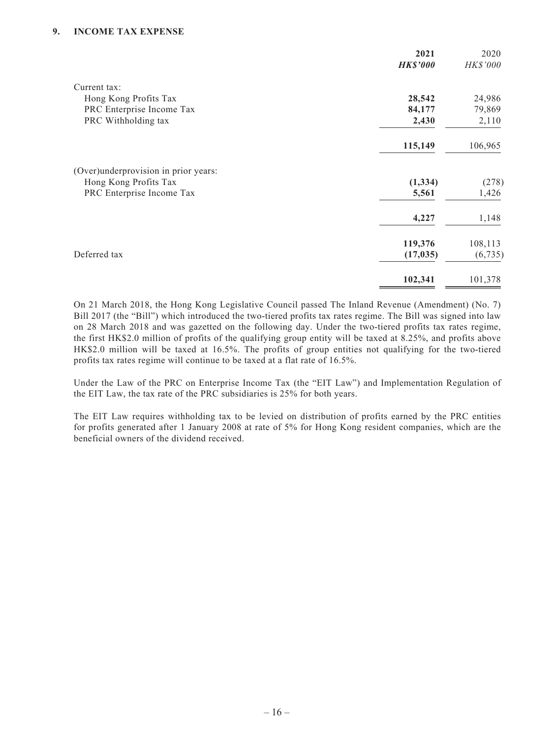#### **9. INCOME TAX EXPENSE**

|                                      | 2021<br><b>HK\$'000</b> | 2020<br>HK\$'000 |
|--------------------------------------|-------------------------|------------------|
| Current tax:                         |                         |                  |
| Hong Kong Profits Tax                | 28,542                  | 24,986           |
| PRC Enterprise Income Tax            | 84,177                  | 79,869           |
| PRC Withholding tax                  | 2,430                   | 2,110            |
|                                      | 115,149                 | 106,965          |
| (Over)underprovision in prior years: |                         |                  |
| Hong Kong Profits Tax                | (1, 334)                | (278)            |
| PRC Enterprise Income Tax            | 5,561                   | 1,426            |
|                                      | 4,227                   | 1,148            |
|                                      | 119,376                 | 108,113          |
| Deferred tax                         | (17, 035)               | (6, 735)         |
|                                      | 102,341                 | 101,378          |

On 21 March 2018, the Hong Kong Legislative Council passed The Inland Revenue (Amendment) (No. 7) Bill 2017 (the "Bill") which introduced the two-tiered profits tax rates regime. The Bill was signed into law on 28 March 2018 and was gazetted on the following day. Under the two-tiered profits tax rates regime, the first HK\$2.0 million of profits of the qualifying group entity will be taxed at 8.25%, and profits above HK\$2.0 million will be taxed at 16.5%. The profits of group entities not qualifying for the two-tiered profits tax rates regime will continue to be taxed at a flat rate of 16.5%.

Under the Law of the PRC on Enterprise Income Tax (the "EIT Law") and Implementation Regulation of the EIT Law, the tax rate of the PRC subsidiaries is 25% for both years.

The EIT Law requires withholding tax to be levied on distribution of profits earned by the PRC entities for profits generated after 1 January 2008 at rate of 5% for Hong Kong resident companies, which are the beneficial owners of the dividend received.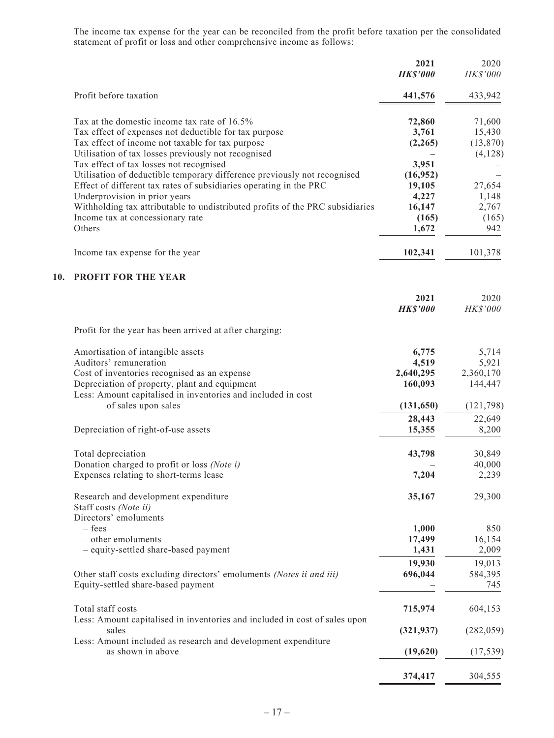The income tax expense for the year can be reconciled from the profit before taxation per the consolidated statement of profit or loss and other comprehensive income as follows:

| Profit before taxation<br>441,576<br>Tax at the domestic income tax rate of 16.5%<br>72,860<br>Tax effect of expenses not deductible for tax purpose<br>3,761<br>Tax effect of income not taxable for tax purpose<br>(2,265)<br>Utilisation of tax losses previously not recognised<br>Tax effect of tax losses not recognised<br>3,951<br>Utilisation of deductible temporary difference previously not recognised<br>(16, 952)<br>Effect of different tax rates of subsidiaries operating in the PRC<br>19,105<br>Underprovision in prior years<br>4,227<br>Withholding tax attributable to undistributed profits of the PRC subsidiaries<br>16,147<br>Income tax at concessionary rate<br>(165)<br>Others<br>1,672<br>Income tax expense for the year<br>102,341<br>PROFIT FOR THE YEAR<br>10.<br>2021<br><b>HK\$'000</b><br>Profit for the year has been arrived at after charging:<br>Amortisation of intangible assets<br>6,775 | 433,942<br>71,600<br>15,430 |
|---------------------------------------------------------------------------------------------------------------------------------------------------------------------------------------------------------------------------------------------------------------------------------------------------------------------------------------------------------------------------------------------------------------------------------------------------------------------------------------------------------------------------------------------------------------------------------------------------------------------------------------------------------------------------------------------------------------------------------------------------------------------------------------------------------------------------------------------------------------------------------------------------------------------------------------|-----------------------------|
|                                                                                                                                                                                                                                                                                                                                                                                                                                                                                                                                                                                                                                                                                                                                                                                                                                                                                                                                       | (13,870)                    |
|                                                                                                                                                                                                                                                                                                                                                                                                                                                                                                                                                                                                                                                                                                                                                                                                                                                                                                                                       |                             |
|                                                                                                                                                                                                                                                                                                                                                                                                                                                                                                                                                                                                                                                                                                                                                                                                                                                                                                                                       |                             |
|                                                                                                                                                                                                                                                                                                                                                                                                                                                                                                                                                                                                                                                                                                                                                                                                                                                                                                                                       |                             |
|                                                                                                                                                                                                                                                                                                                                                                                                                                                                                                                                                                                                                                                                                                                                                                                                                                                                                                                                       | (4,128)                     |
|                                                                                                                                                                                                                                                                                                                                                                                                                                                                                                                                                                                                                                                                                                                                                                                                                                                                                                                                       |                             |
|                                                                                                                                                                                                                                                                                                                                                                                                                                                                                                                                                                                                                                                                                                                                                                                                                                                                                                                                       |                             |
|                                                                                                                                                                                                                                                                                                                                                                                                                                                                                                                                                                                                                                                                                                                                                                                                                                                                                                                                       | 27,654                      |
|                                                                                                                                                                                                                                                                                                                                                                                                                                                                                                                                                                                                                                                                                                                                                                                                                                                                                                                                       | 1,148                       |
|                                                                                                                                                                                                                                                                                                                                                                                                                                                                                                                                                                                                                                                                                                                                                                                                                                                                                                                                       | 2,767                       |
|                                                                                                                                                                                                                                                                                                                                                                                                                                                                                                                                                                                                                                                                                                                                                                                                                                                                                                                                       | (165)                       |
|                                                                                                                                                                                                                                                                                                                                                                                                                                                                                                                                                                                                                                                                                                                                                                                                                                                                                                                                       | 942                         |
|                                                                                                                                                                                                                                                                                                                                                                                                                                                                                                                                                                                                                                                                                                                                                                                                                                                                                                                                       | 101,378                     |
|                                                                                                                                                                                                                                                                                                                                                                                                                                                                                                                                                                                                                                                                                                                                                                                                                                                                                                                                       |                             |
|                                                                                                                                                                                                                                                                                                                                                                                                                                                                                                                                                                                                                                                                                                                                                                                                                                                                                                                                       |                             |
|                                                                                                                                                                                                                                                                                                                                                                                                                                                                                                                                                                                                                                                                                                                                                                                                                                                                                                                                       | 2020                        |
|                                                                                                                                                                                                                                                                                                                                                                                                                                                                                                                                                                                                                                                                                                                                                                                                                                                                                                                                       | HK\$'000                    |
|                                                                                                                                                                                                                                                                                                                                                                                                                                                                                                                                                                                                                                                                                                                                                                                                                                                                                                                                       |                             |
|                                                                                                                                                                                                                                                                                                                                                                                                                                                                                                                                                                                                                                                                                                                                                                                                                                                                                                                                       | 5,714                       |
| Auditors' remuneration<br>4,519                                                                                                                                                                                                                                                                                                                                                                                                                                                                                                                                                                                                                                                                                                                                                                                                                                                                                                       | 5,921                       |
| Cost of inventories recognised as an expense<br>2,640,295                                                                                                                                                                                                                                                                                                                                                                                                                                                                                                                                                                                                                                                                                                                                                                                                                                                                             | 2,360,170                   |
| Depreciation of property, plant and equipment<br>160,093                                                                                                                                                                                                                                                                                                                                                                                                                                                                                                                                                                                                                                                                                                                                                                                                                                                                              | 144,447                     |
| Less: Amount capitalised in inventories and included in cost                                                                                                                                                                                                                                                                                                                                                                                                                                                                                                                                                                                                                                                                                                                                                                                                                                                                          |                             |
| of sales upon sales<br>(131, 650)                                                                                                                                                                                                                                                                                                                                                                                                                                                                                                                                                                                                                                                                                                                                                                                                                                                                                                     | (121, 798)                  |
| 28,443                                                                                                                                                                                                                                                                                                                                                                                                                                                                                                                                                                                                                                                                                                                                                                                                                                                                                                                                | 22,649                      |
| Depreciation of right-of-use assets<br>15,355                                                                                                                                                                                                                                                                                                                                                                                                                                                                                                                                                                                                                                                                                                                                                                                                                                                                                         | 8,200                       |
|                                                                                                                                                                                                                                                                                                                                                                                                                                                                                                                                                                                                                                                                                                                                                                                                                                                                                                                                       |                             |
| Total depreciation<br>43,798                                                                                                                                                                                                                                                                                                                                                                                                                                                                                                                                                                                                                                                                                                                                                                                                                                                                                                          | 30,849                      |
| Donation charged to profit or loss (Note i)                                                                                                                                                                                                                                                                                                                                                                                                                                                                                                                                                                                                                                                                                                                                                                                                                                                                                           | 40,000                      |
| Expenses relating to short-terms lease<br>7,204                                                                                                                                                                                                                                                                                                                                                                                                                                                                                                                                                                                                                                                                                                                                                                                                                                                                                       | 2,239                       |
| Research and development expenditure<br>35,167                                                                                                                                                                                                                                                                                                                                                                                                                                                                                                                                                                                                                                                                                                                                                                                                                                                                                        | 29,300                      |
| Staff costs (Note ii)                                                                                                                                                                                                                                                                                                                                                                                                                                                                                                                                                                                                                                                                                                                                                                                                                                                                                                                 |                             |
| Directors' emoluments                                                                                                                                                                                                                                                                                                                                                                                                                                                                                                                                                                                                                                                                                                                                                                                                                                                                                                                 |                             |
| – fees<br>1,000                                                                                                                                                                                                                                                                                                                                                                                                                                                                                                                                                                                                                                                                                                                                                                                                                                                                                                                       | 850                         |
| - other emoluments<br>17,499                                                                                                                                                                                                                                                                                                                                                                                                                                                                                                                                                                                                                                                                                                                                                                                                                                                                                                          | 16,154                      |
| - equity-settled share-based payment<br>1,431                                                                                                                                                                                                                                                                                                                                                                                                                                                                                                                                                                                                                                                                                                                                                                                                                                                                                         | 2,009                       |
| 19,930                                                                                                                                                                                                                                                                                                                                                                                                                                                                                                                                                                                                                                                                                                                                                                                                                                                                                                                                | 19,013                      |
| Other staff costs excluding directors' emoluments (Notes ii and iii)<br>696,044                                                                                                                                                                                                                                                                                                                                                                                                                                                                                                                                                                                                                                                                                                                                                                                                                                                       | 584,395                     |
| Equity-settled share-based payment                                                                                                                                                                                                                                                                                                                                                                                                                                                                                                                                                                                                                                                                                                                                                                                                                                                                                                    | 745                         |
| Total staff costs<br>715,974                                                                                                                                                                                                                                                                                                                                                                                                                                                                                                                                                                                                                                                                                                                                                                                                                                                                                                          | 604,153                     |
| Less: Amount capitalised in inventories and included in cost of sales upon                                                                                                                                                                                                                                                                                                                                                                                                                                                                                                                                                                                                                                                                                                                                                                                                                                                            |                             |
| sales<br>(321, 937)                                                                                                                                                                                                                                                                                                                                                                                                                                                                                                                                                                                                                                                                                                                                                                                                                                                                                                                   | (282, 059)                  |
| Less: Amount included as research and development expenditure                                                                                                                                                                                                                                                                                                                                                                                                                                                                                                                                                                                                                                                                                                                                                                                                                                                                         |                             |
| as shown in above<br>(19,620)                                                                                                                                                                                                                                                                                                                                                                                                                                                                                                                                                                                                                                                                                                                                                                                                                                                                                                         |                             |
| 374,417<br>304,555                                                                                                                                                                                                                                                                                                                                                                                                                                                                                                                                                                                                                                                                                                                                                                                                                                                                                                                    | (17, 539)                   |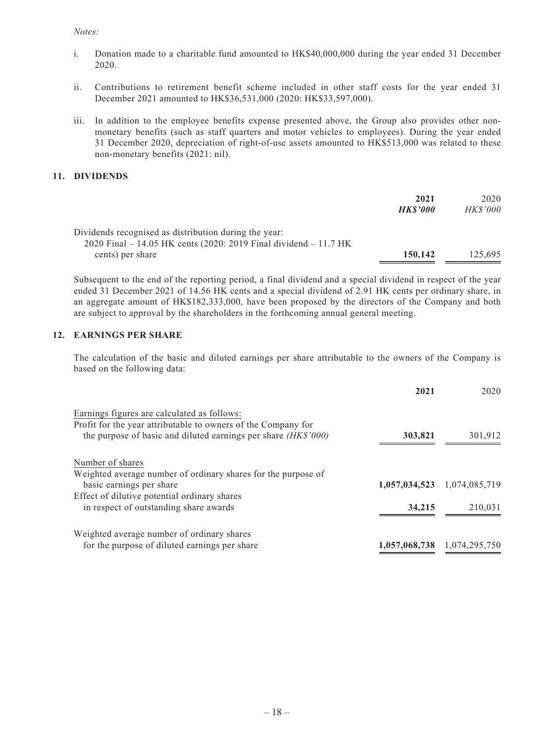#### *Notes:*

- i. Donation made to a charitable fund amounted to HK\$40,000,000 during the year ended 31 December 2020.
- ii. Contributions to retirement benefit scheme included in other staff costs for the year ended 31 December 2021 amounted to HK\$36,531,000 (2020: HK\$33,597,000).
- iii. In addition to the employee benefits expense presented above, the Group also provides other nonmonetary benefits (such as staff quarters and motor vehicles to employees). During the year ended 31 December 2020, depreciation of right-of-use assets amounted to HK\$513,000 was related to these non-monetary benefits (2021: nil).

#### **11. DIVIDENDS**

|                                                                                                                           | 2021<br><b>HKS'000</b> | 2020<br><i>HK\$'000</i> |
|---------------------------------------------------------------------------------------------------------------------------|------------------------|-------------------------|
| Dividends recognised as distribution during the year:<br>2020 Final – 14.05 HK cents (2020: 2019 Final dividend – 11.7 HK |                        |                         |
| cents) per share                                                                                                          | 150,142                | 125,695                 |

Subsequent to the end of the reporting period, a final dividend and a special dividend in respect of the year ended 31 December 2021 of 14.56 HK cents and a special dividend of 2.91 HK cents per ordinary share, in an aggregate amount of HK\$182,333,000, have been proposed by the directors of the Company and both are subject to approval by the shareholders in the forthcoming annual general meeting.

## **12. EARNINGS PER SHARE**

The calculation of the basic and diluted earnings per share attributable to the owners of the Company is based on the following data:

|                                                                 | 2021          | 2020                        |
|-----------------------------------------------------------------|---------------|-----------------------------|
| Earnings figures are calculated as follows:                     |               |                             |
| Profit for the year attributable to owners of the Company for   |               |                             |
| the purpose of basic and diluted earnings per share $(HK$'000)$ | 303,821       | 301,912                     |
| Number of shares                                                |               |                             |
| Weighted average number of ordinary shares for the purpose of   |               |                             |
| basic earnings per share                                        | 1,057,034,523 | 1,074,085,719               |
| Effect of dilutive potential ordinary shares                    |               |                             |
| in respect of outstanding share awards                          | 34,215        | 210.031                     |
| Weighted average number of ordinary shares                      |               |                             |
| for the purpose of diluted earnings per share                   |               | 1,057,068,738 1,074,295,750 |
|                                                                 |               |                             |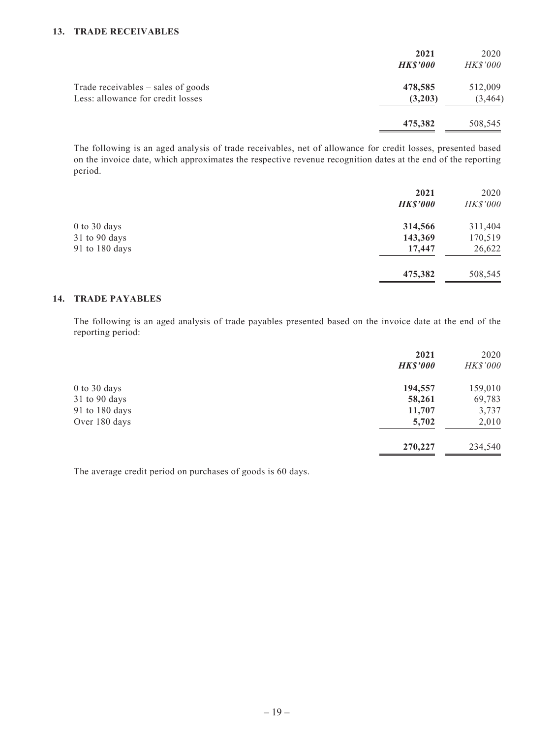#### **13. TRADE RECEIVABLES**

|                                                                           | 2021<br><b>HK\$'000</b> | 2020<br><i>HK\$'000</i> |
|---------------------------------------------------------------------------|-------------------------|-------------------------|
| Trade receivables $-$ sales of goods<br>Less: allowance for credit losses | 478,585<br>(3,203)      | 512,009<br>(3, 464)     |
|                                                                           | 475,382                 | 508,545                 |

The following is an aged analysis of trade receivables, net of allowance for credit losses, presented based on the invoice date, which approximates the respective revenue recognition dates at the end of the reporting period.

|                | 2021            | 2020            |
|----------------|-----------------|-----------------|
|                | <b>HK\$'000</b> | <b>HK\$'000</b> |
| 0 to 30 days   | 314,566         | 311,404         |
| 31 to 90 days  | 143,369         | 170,519         |
| 91 to 180 days | 17,447          | 26,622          |
|                | 475,382         | 508,545         |

#### **14. TRADE PAYABLES**

The following is an aged analysis of trade payables presented based on the invoice date at the end of the reporting period:

| 2021            | 2020            |
|-----------------|-----------------|
| <b>HK\$'000</b> | <b>HK\$'000</b> |
| 194,557         | 159,010         |
| 58,261          | 69,783          |
| 11,707          | 3,737           |
| 5,702           | 2,010           |
| 270,227         | 234,540         |
|                 |                 |

The average credit period on purchases of goods is 60 days.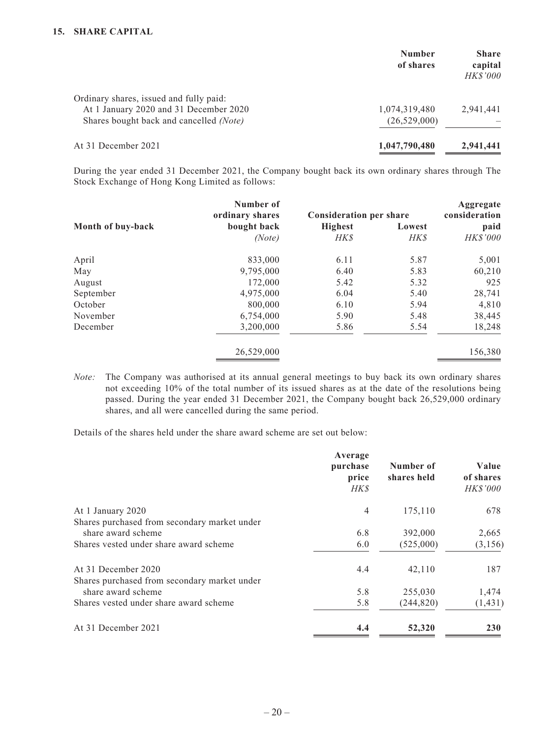|                                                                                                                              | <b>Number</b><br>of shares      | <b>Share</b><br>capital<br><b>HK\$'000</b> |
|------------------------------------------------------------------------------------------------------------------------------|---------------------------------|--------------------------------------------|
| Ordinary shares, issued and fully paid:<br>At 1 January 2020 and 31 December 2020<br>Shares bought back and cancelled (Note) | 1,074,319,480<br>(26, 529, 000) | 2.941.441                                  |
| At 31 December 2021                                                                                                          | 1,047,790,480                   | 2,941,441                                  |

During the year ended 31 December 2021, the Company bought back its own ordinary shares through The Stock Exchange of Hong Kong Limited as follows:

|                   | Number of<br>ordinary shares | <b>Consideration per share</b> |            | Aggregate<br>consideration |
|-------------------|------------------------------|--------------------------------|------------|----------------------------|
| Month of buy-back | bought back                  | <b>Highest</b>                 | Lowest     | paid                       |
|                   | (Note)                       | <b>HKS</b>                     | <b>HKS</b> | <b>HKS'000</b>             |
| April             | 833,000                      | 6.11                           | 5.87       | 5,001                      |
| May               | 9,795,000                    | 6.40                           | 5.83       | 60,210                     |
| August            | 172,000                      | 5.42                           | 5.32       | 925                        |
| September         | 4,975,000                    | 6.04                           | 5.40       | 28,741                     |
| October           | 800,000                      | 6.10                           | 5.94       | 4,810                      |
| November          | 6,754,000                    | 5.90                           | 5.48       | 38,445                     |
| December          | 3,200,000                    | 5.86                           | 5.54       | 18,248                     |
|                   | 26,529,000                   |                                |            | 156,380                    |

*Note:* The Company was authorised at its annual general meetings to buy back its own ordinary shares not exceeding 10% of the total number of its issued shares as at the date of the resolutions being passed. During the year ended 31 December 2021, the Company bought back 26,529,000 ordinary shares, and all were cancelled during the same period.

Details of the shares held under the share award scheme are set out below:

| Average<br>purchase<br>price<br>HK\$ | Number of<br>shares held | Value<br>of shares<br><b>HK\$'000</b> |
|--------------------------------------|--------------------------|---------------------------------------|
| $\overline{4}$                       | 175,110                  | 678                                   |
|                                      |                          |                                       |
| 6.8                                  | 392,000                  | 2,665                                 |
| 6.0                                  | (525,000)                | (3,156)                               |
| 4.4                                  | 42,110                   | 187                                   |
|                                      |                          |                                       |
| 5.8                                  | 255,030                  | 1,474                                 |
| 5.8                                  | (244, 820)               | (1, 431)                              |
| 4.4                                  | 52,320                   | 230                                   |
|                                      |                          |                                       |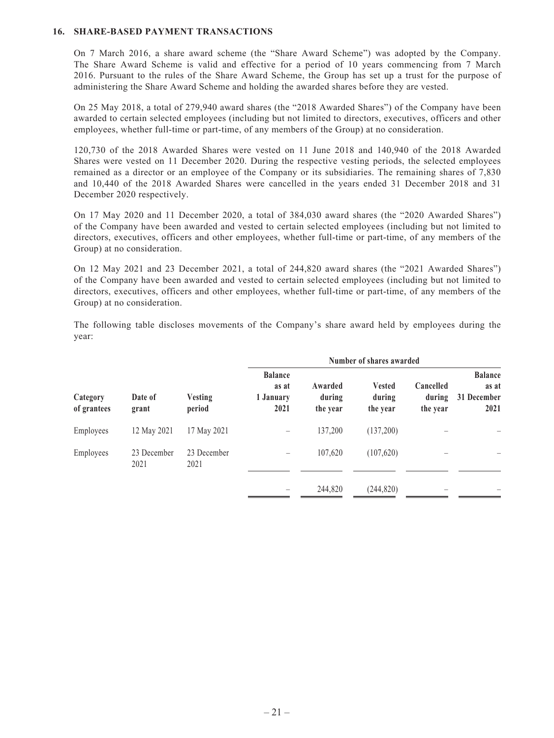#### **16. SHARE-BASED PAYMENT TRANSACTIONS**

On 7 March 2016, a share award scheme (the "Share Award Scheme") was adopted by the Company. The Share Award Scheme is valid and effective for a period of 10 years commencing from 7 March 2016. Pursuant to the rules of the Share Award Scheme, the Group has set up a trust for the purpose of administering the Share Award Scheme and holding the awarded shares before they are vested.

On 25 May 2018, a total of 279,940 award shares (the "2018 Awarded Shares") of the Company have been awarded to certain selected employees (including but not limited to directors, executives, officers and other employees, whether full-time or part-time, of any members of the Group) at no consideration.

120,730 of the 2018 Awarded Shares were vested on 11 June 2018 and 140,940 of the 2018 Awarded Shares were vested on 11 December 2020. During the respective vesting periods, the selected employees remained as a director or an employee of the Company or its subsidiaries. The remaining shares of 7,830 and 10,440 of the 2018 Awarded Shares were cancelled in the years ended 31 December 2018 and 31 December 2020 respectively.

On 17 May 2020 and 11 December 2020, a total of 384,030 award shares (the "2020 Awarded Shares") of the Company have been awarded and vested to certain selected employees (including but not limited to directors, executives, officers and other employees, whether full-time or part-time, of any members of the Group) at no consideration.

On 12 May 2021 and 23 December 2021, a total of 244,820 award shares (the "2021 Awarded Shares") of the Company have been awarded and vested to certain selected employees (including but not limited to directors, executives, officers and other employees, whether full-time or part-time, of any members of the Group) at no consideration.

The following table discloses movements of the Company's share award held by employees during the year:

|                         |                     |                          | Number of shares awarded                     |                               |                                     |                                 |                                                |
|-------------------------|---------------------|--------------------------|----------------------------------------------|-------------------------------|-------------------------------------|---------------------------------|------------------------------------------------|
| Category<br>of grantees | Date of<br>grant    | <b>Vesting</b><br>period | <b>Balance</b><br>as at<br>1 January<br>2021 | Awarded<br>during<br>the year | <b>Vested</b><br>during<br>the year | Cancelled<br>during<br>the year | <b>Balance</b><br>as at<br>31 December<br>2021 |
| Employees               | 12 May 2021         | 17 May 2021              |                                              | 137,200                       | (137,200)                           |                                 |                                                |
| Employees               | 23 December<br>2021 | 23 December<br>2021      |                                              | 107,620                       | (107, 620)                          |                                 |                                                |
|                         |                     |                          |                                              | 244,820                       | (244, 820)                          |                                 |                                                |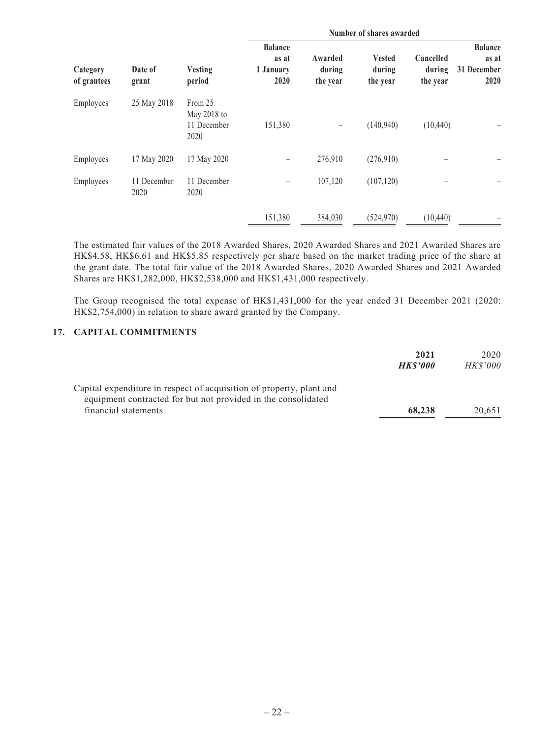|                         | Date of<br>grant    | <b>Vesting</b><br>period                      | Number of shares awarded                     |                               |                                     |                                 |                                                |
|-------------------------|---------------------|-----------------------------------------------|----------------------------------------------|-------------------------------|-------------------------------------|---------------------------------|------------------------------------------------|
| Category<br>of grantees |                     |                                               | <b>Balance</b><br>as at<br>1 January<br>2020 | Awarded<br>during<br>the year | <b>Vested</b><br>during<br>the year | Cancelled<br>during<br>the year | <b>Balance</b><br>as at<br>31 December<br>2020 |
| Employees               | 25 May 2018         | From 25<br>May 2018 to<br>11 December<br>2020 | 151,380                                      |                               | (140, 940)                          | (10, 440)                       |                                                |
| Employees               | 17 May 2020         | 17 May 2020                                   |                                              | 276,910                       | (276,910)                           |                                 |                                                |
| Employees               | 11 December<br>2020 | 11 December<br>2020                           |                                              | 107,120                       | (107, 120)                          |                                 |                                                |
|                         |                     |                                               | 151,380                                      | 384,030                       | (524, 970)                          | (10, 440)                       |                                                |

The estimated fair values of the 2018 Awarded Shares, 2020 Awarded Shares and 2021 Awarded Shares are HK\$4.58, HK\$6.61 and HK\$5.85 respectively per share based on the market trading price of the share at the grant date. The total fair value of the 2018 Awarded Shares, 2020 Awarded Shares and 2021 Awarded Shares are HK\$1,282,000, HK\$2,538,000 and HK\$1,431,000 respectively.

The Group recognised the total expense of HK\$1,431,000 for the year ended 31 December 2021 (2020: HK\$2,754,000) in relation to share award granted by the Company.

#### **17. CAPITAL COMMITMENTS**

|                                                                                                                                       | 2021<br><b>HKS'000</b> | 2020<br><i>HK\$'000</i> |
|---------------------------------------------------------------------------------------------------------------------------------------|------------------------|-------------------------|
| Capital expenditure in respect of acquisition of property, plant and<br>equipment contracted for but not provided in the consolidated |                        |                         |
| financial statements                                                                                                                  | 68.238                 | 20.651                  |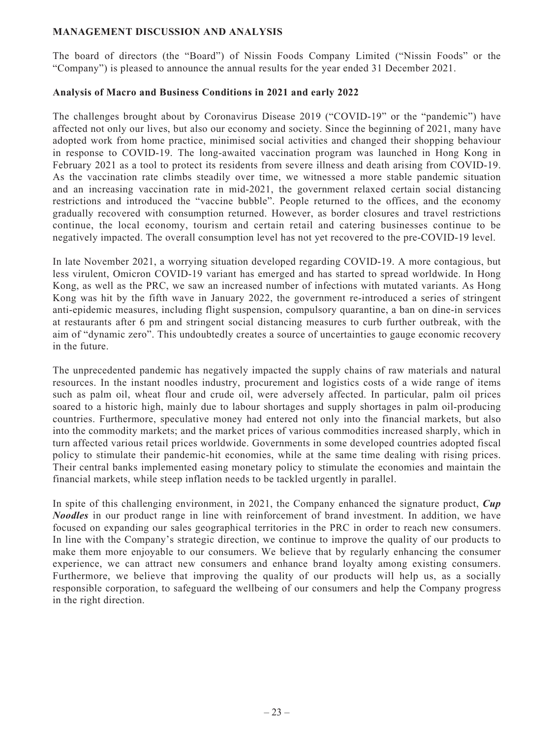## **MANAGEMENT DISCUSSION AND ANALYSIS**

The board of directors (the "Board") of Nissin Foods Company Limited ("Nissin Foods" or the "Company") is pleased to announce the annual results for the year ended 31 December 2021.

## **Analysis of Macro and Business Conditions in 2021 and early 2022**

The challenges brought about by Coronavirus Disease 2019 ("COVID-19" or the "pandemic") have affected not only our lives, but also our economy and society. Since the beginning of 2021, many have adopted work from home practice, minimised social activities and changed their shopping behaviour in response to COVID-19. The long-awaited vaccination program was launched in Hong Kong in February 2021 as a tool to protect its residents from severe illness and death arising from COVID-19. As the vaccination rate climbs steadily over time, we witnessed a more stable pandemic situation and an increasing vaccination rate in mid-2021, the government relaxed certain social distancing restrictions and introduced the "vaccine bubble". People returned to the offices, and the economy gradually recovered with consumption returned. However, as border closures and travel restrictions continue, the local economy, tourism and certain retail and catering businesses continue to be negatively impacted. The overall consumption level has not yet recovered to the pre-COVID-19 level.

In late November 2021, a worrying situation developed regarding COVID-19. A more contagious, but less virulent, Omicron COVID-19 variant has emerged and has started to spread worldwide. In Hong Kong, as well as the PRC, we saw an increased number of infections with mutated variants. As Hong Kong was hit by the fifth wave in January 2022, the government re-introduced a series of stringent anti-epidemic measures, including flight suspension, compulsory quarantine, a ban on dine-in services at restaurants after 6 pm and stringent social distancing measures to curb further outbreak, with the aim of "dynamic zero". This undoubtedly creates a source of uncertainties to gauge economic recovery in the future.

The unprecedented pandemic has negatively impacted the supply chains of raw materials and natural resources. In the instant noodles industry, procurement and logistics costs of a wide range of items such as palm oil, wheat flour and crude oil, were adversely affected. In particular, palm oil prices soared to a historic high, mainly due to labour shortages and supply shortages in palm oil-producing countries. Furthermore, speculative money had entered not only into the financial markets, but also into the commodity markets; and the market prices of various commodities increased sharply, which in turn affected various retail prices worldwide. Governments in some developed countries adopted fiscal policy to stimulate their pandemic-hit economies, while at the same time dealing with rising prices. Their central banks implemented easing monetary policy to stimulate the economies and maintain the financial markets, while steep inflation needs to be tackled urgently in parallel.

In spite of this challenging environment, in 2021, the Company enhanced the signature product, *Cup Noodles* in our product range in line with reinforcement of brand investment. In addition, we have focused on expanding our sales geographical territories in the PRC in order to reach new consumers. In line with the Company's strategic direction, we continue to improve the quality of our products to make them more enjoyable to our consumers. We believe that by regularly enhancing the consumer experience, we can attract new consumers and enhance brand loyalty among existing consumers. Furthermore, we believe that improving the quality of our products will help us, as a socially responsible corporation, to safeguard the wellbeing of our consumers and help the Company progress in the right direction.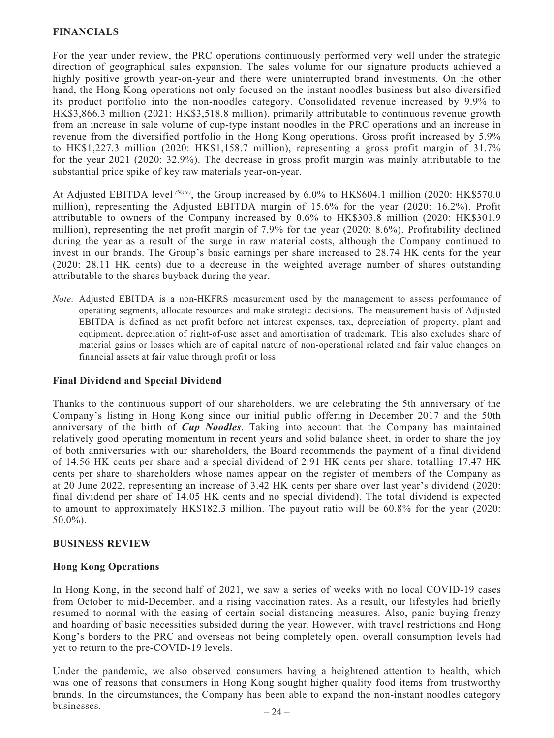## **FINANCIALS**

For the year under review, the PRC operations continuously performed very well under the strategic direction of geographical sales expansion. The sales volume for our signature products achieved a highly positive growth year-on-year and there were uninterrupted brand investments. On the other hand, the Hong Kong operations not only focused on the instant noodles business but also diversified its product portfolio into the non-noodles category. Consolidated revenue increased by 9.9% to HK\$3,866.3 million (2021: HK\$3,518.8 million), primarily attributable to continuous revenue growth from an increase in sale volume of cup-type instant noodles in the PRC operations and an increase in revenue from the diversified portfolio in the Hong Kong operations. Gross profit increased by 5.9% to HK\$1,227.3 million (2020: HK\$1,158.7 million), representing a gross profit margin of 31.7% for the year 2021 (2020: 32.9%). The decrease in gross profit margin was mainly attributable to the substantial price spike of key raw materials year-on-year.

At Adjusted EBITDA level <sup>(Note)</sup>, the Group increased by 6.0% to HK\$604.1 million (2020: HK\$570.0) million), representing the Adjusted EBITDA margin of 15.6% for the year (2020: 16.2%). Profit attributable to owners of the Company increased by 0.6% to HK\$303.8 million (2020: HK\$301.9 million), representing the net profit margin of 7.9% for the year (2020: 8.6%). Profitability declined during the year as a result of the surge in raw material costs, although the Company continued to invest in our brands. The Group's basic earnings per share increased to 28.74 HK cents for the year (2020: 28.11 HK cents) due to a decrease in the weighted average number of shares outstanding attributable to the shares buyback during the year.

*Note:* Adjusted EBITDA is a non-HKFRS measurement used by the management to assess performance of operating segments, allocate resources and make strategic decisions. The measurement basis of Adjusted EBITDA is defined as net profit before net interest expenses, tax, depreciation of property, plant and equipment, depreciation of right-of-use asset and amortisation of trademark. This also excludes share of material gains or losses which are of capital nature of non-operational related and fair value changes on financial assets at fair value through profit or loss.

## **Final Dividend and Special Dividend**

Thanks to the continuous support of our shareholders, we are celebrating the 5th anniversary of the Company's listing in Hong Kong since our initial public offering in December 2017 and the 50th anniversary of the birth of *Cup Noodles*. Taking into account that the Company has maintained relatively good operating momentum in recent years and solid balance sheet, in order to share the joy of both anniversaries with our shareholders, the Board recommends the payment of a final dividend of 14.56 HK cents per share and a special dividend of 2.91 HK cents per share, totalling 17.47 HK cents per share to shareholders whose names appear on the register of members of the Company as at 20 June 2022, representing an increase of 3.42 HK cents per share over last year's dividend (2020: final dividend per share of 14.05 HK cents and no special dividend). The total dividend is expected to amount to approximately HK\$182.3 million. The payout ratio will be 60.8% for the year (2020: 50.0%).

## **BUSINESS REVIEW**

#### **Hong Kong Operations**

In Hong Kong, in the second half of 2021, we saw a series of weeks with no local COVID-19 cases from October to mid-December, and a rising vaccination rates. As a result, our lifestyles had briefly resumed to normal with the easing of certain social distancing measures. Also, panic buying frenzy and hoarding of basic necessities subsided during the year. However, with travel restrictions and Hong Kong's borders to the PRC and overseas not being completely open, overall consumption levels had yet to return to the pre-COVID-19 levels.

Under the pandemic, we also observed consumers having a heightened attention to health, which was one of reasons that consumers in Hong Kong sought higher quality food items from trustworthy brands. In the circumstances, the Company has been able to expand the non-instant noodles category businesses.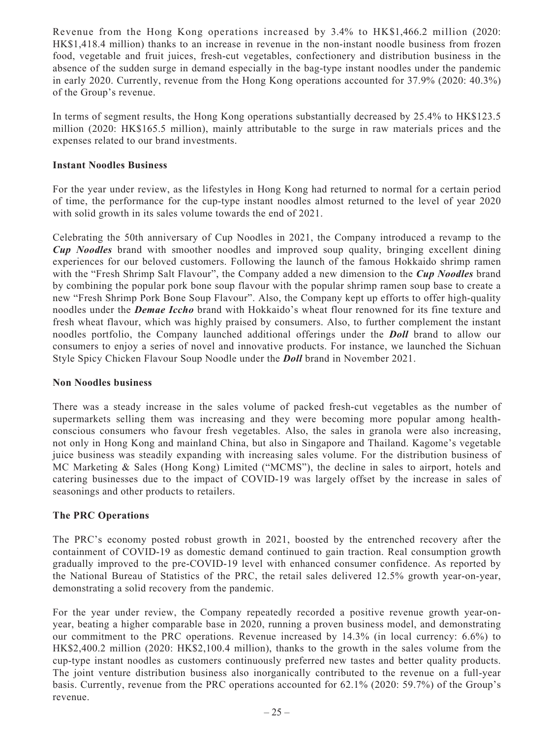Revenue from the Hong Kong operations increased by 3.4% to HK\$1,466.2 million (2020: HK\$1,418.4 million) thanks to an increase in revenue in the non-instant noodle business from frozen food, vegetable and fruit juices, fresh-cut vegetables, confectionery and distribution business in the absence of the sudden surge in demand especially in the bag-type instant noodles under the pandemic in early 2020. Currently, revenue from the Hong Kong operations accounted for 37.9% (2020: 40.3%) of the Group's revenue.

In terms of segment results, the Hong Kong operations substantially decreased by 25.4% to HK\$123.5 million (2020: HK\$165.5 million), mainly attributable to the surge in raw materials prices and the expenses related to our brand investments.

## **Instant Noodles Business**

For the year under review, as the lifestyles in Hong Kong had returned to normal for a certain period of time, the performance for the cup-type instant noodles almost returned to the level of year 2020 with solid growth in its sales volume towards the end of 2021.

Celebrating the 50th anniversary of Cup Noodles in 2021, the Company introduced a revamp to the *Cup Noodles* brand with smoother noodles and improved soup quality, bringing excellent dining experiences for our beloved customers. Following the launch of the famous Hokkaido shrimp ramen with the "Fresh Shrimp Salt Flavour", the Company added a new dimension to the *Cup Noodles* brand by combining the popular pork bone soup flavour with the popular shrimp ramen soup base to create a new "Fresh Shrimp Pork Bone Soup Flavour". Also, the Company kept up efforts to offer high-quality noodles under the *Demae Iccho* brand with Hokkaido's wheat flour renowned for its fine texture and fresh wheat flavour, which was highly praised by consumers. Also, to further complement the instant noodles portfolio, the Company launched additional offerings under the *Doll* brand to allow our consumers to enjoy a series of novel and innovative products. For instance, we launched the Sichuan Style Spicy Chicken Flavour Soup Noodle under the *Doll* brand in November 2021.

## **Non Noodles business**

There was a steady increase in the sales volume of packed fresh-cut vegetables as the number of supermarkets selling them was increasing and they were becoming more popular among healthconscious consumers who favour fresh vegetables. Also, the sales in granola were also increasing, not only in Hong Kong and mainland China, but also in Singapore and Thailand. Kagome's vegetable juice business was steadily expanding with increasing sales volume. For the distribution business of MC Marketing & Sales (Hong Kong) Limited ("MCMS"), the decline in sales to airport, hotels and catering businesses due to the impact of COVID-19 was largely offset by the increase in sales of seasonings and other products to retailers.

## **The PRC Operations**

The PRC's economy posted robust growth in 2021, boosted by the entrenched recovery after the containment of COVID-19 as domestic demand continued to gain traction. Real consumption growth gradually improved to the pre-COVID-19 level with enhanced consumer confidence. As reported by the National Bureau of Statistics of the PRC, the retail sales delivered 12.5% growth year-on-year, demonstrating a solid recovery from the pandemic.

For the year under review, the Company repeatedly recorded a positive revenue growth year-onyear, beating a higher comparable base in 2020, running a proven business model, and demonstrating our commitment to the PRC operations. Revenue increased by 14.3% (in local currency: 6.6%) to HK\$2,400.2 million (2020: HK\$2,100.4 million), thanks to the growth in the sales volume from the cup-type instant noodles as customers continuously preferred new tastes and better quality products. The joint venture distribution business also inorganically contributed to the revenue on a full-year basis. Currently, revenue from the PRC operations accounted for 62.1% (2020: 59.7%) of the Group's revenue.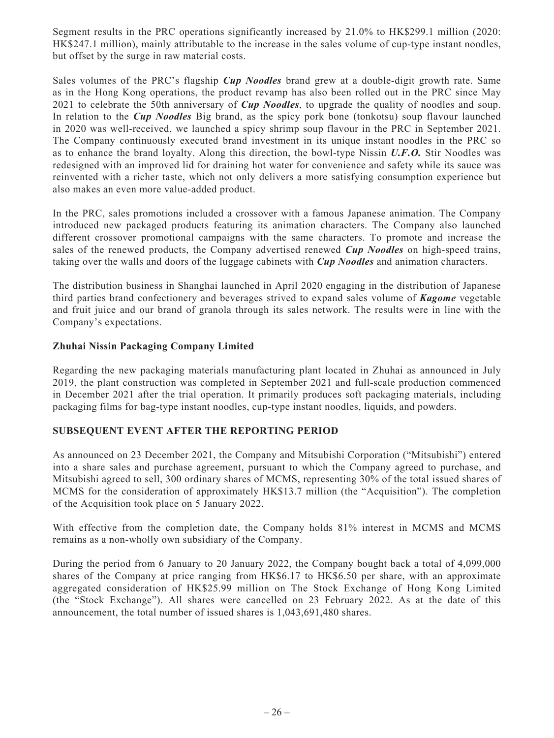Segment results in the PRC operations significantly increased by 21.0% to HK\$299.1 million (2020: HK\$247.1 million), mainly attributable to the increase in the sales volume of cup-type instant noodles, but offset by the surge in raw material costs.

Sales volumes of the PRC's flagship *Cup Noodles* brand grew at a double-digit growth rate. Same as in the Hong Kong operations, the product revamp has also been rolled out in the PRC since May 2021 to celebrate the 50th anniversary of *Cup Noodles*, to upgrade the quality of noodles and soup. In relation to the *Cup Noodles* Big brand, as the spicy pork bone (tonkotsu) soup flavour launched in 2020 was well-received, we launched a spicy shrimp soup flavour in the PRC in September 2021. The Company continuously executed brand investment in its unique instant noodles in the PRC so as to enhance the brand loyalty. Along this direction, the bowl-type Nissin *U.F.O.* Stir Noodles was redesigned with an improved lid for draining hot water for convenience and safety while its sauce was reinvented with a richer taste, which not only delivers a more satisfying consumption experience but also makes an even more value-added product.

In the PRC, sales promotions included a crossover with a famous Japanese animation. The Company introduced new packaged products featuring its animation characters. The Company also launched different crossover promotional campaigns with the same characters. To promote and increase the sales of the renewed products, the Company advertised renewed *Cup Noodles* on high-speed trains, taking over the walls and doors of the luggage cabinets with *Cup Noodles* and animation characters.

The distribution business in Shanghai launched in April 2020 engaging in the distribution of Japanese third parties brand confectionery and beverages strived to expand sales volume of *Kagome* vegetable and fruit juice and our brand of granola through its sales network. The results were in line with the Company's expectations.

## **Zhuhai Nissin Packaging Company Limited**

Regarding the new packaging materials manufacturing plant located in Zhuhai as announced in July 2019, the plant construction was completed in September 2021 and full-scale production commenced in December 2021 after the trial operation. It primarily produces soft packaging materials, including packaging films for bag-type instant noodles, cup-type instant noodles, liquids, and powders.

## **SUBSEQUENT EVENT AFTER THE REPORTING PERIOD**

As announced on 23 December 2021, the Company and Mitsubishi Corporation ("Mitsubishi") entered into a share sales and purchase agreement, pursuant to which the Company agreed to purchase, and Mitsubishi agreed to sell, 300 ordinary shares of MCMS, representing 30% of the total issued shares of MCMS for the consideration of approximately HK\$13.7 million (the "Acquisition"). The completion of the Acquisition took place on 5 January 2022.

With effective from the completion date, the Company holds 81% interest in MCMS and MCMS remains as a non-wholly own subsidiary of the Company.

During the period from 6 January to 20 January 2022, the Company bought back a total of 4,099,000 shares of the Company at price ranging from HK\$6.17 to HK\$6.50 per share, with an approximate aggregated consideration of HK\$25.99 million on The Stock Exchange of Hong Kong Limited (the "Stock Exchange"). All shares were cancelled on 23 February 2022. As at the date of this announcement, the total number of issued shares is 1,043,691,480 shares.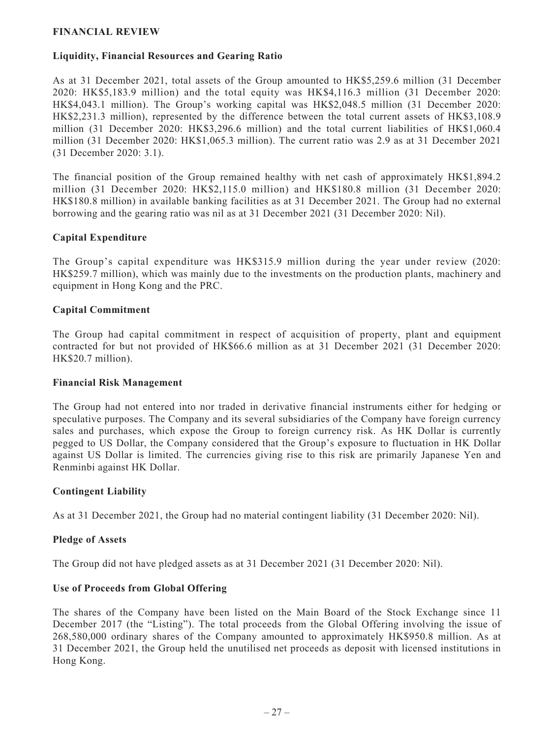## **FINANCIAL REVIEW**

## **Liquidity, Financial Resources and Gearing Ratio**

As at 31 December 2021, total assets of the Group amounted to HK\$5,259.6 million (31 December 2020: HK\$5,183.9 million) and the total equity was HK\$4,116.3 million (31 December 2020: HK\$4,043.1 million). The Group's working capital was HK\$2,048.5 million (31 December 2020: HK\$2,231.3 million), represented by the difference between the total current assets of HK\$3,108.9 million (31 December 2020: HK\$3,296.6 million) and the total current liabilities of HK\$1,060.4 million (31 December 2020: HK\$1,065.3 million). The current ratio was 2.9 as at 31 December 2021 (31 December 2020: 3.1).

The financial position of the Group remained healthy with net cash of approximately HK\$1,894.2 million (31 December 2020: HK\$2,115.0 million) and HK\$180.8 million (31 December 2020: HK\$180.8 million) in available banking facilities as at 31 December 2021. The Group had no external borrowing and the gearing ratio was nil as at 31 December 2021 (31 December 2020: Nil).

## **Capital Expenditure**

The Group's capital expenditure was HK\$315.9 million during the year under review (2020: HK\$259.7 million), which was mainly due to the investments on the production plants, machinery and equipment in Hong Kong and the PRC.

## **Capital Commitment**

The Group had capital commitment in respect of acquisition of property, plant and equipment contracted for but not provided of HK\$66.6 million as at 31 December 2021 (31 December 2020: HK\$20.7 million).

## **Financial Risk Management**

The Group had not entered into nor traded in derivative financial instruments either for hedging or speculative purposes. The Company and its several subsidiaries of the Company have foreign currency sales and purchases, which expose the Group to foreign currency risk. As HK Dollar is currently pegged to US Dollar, the Company considered that the Group's exposure to fluctuation in HK Dollar against US Dollar is limited. The currencies giving rise to this risk are primarily Japanese Yen and Renminbi against HK Dollar.

## **Contingent Liability**

As at 31 December 2021, the Group had no material contingent liability (31 December 2020: Nil).

## **Pledge of Assets**

The Group did not have pledged assets as at 31 December 2021 (31 December 2020: Nil).

## **Use of Proceeds from Global Offering**

The shares of the Company have been listed on the Main Board of the Stock Exchange since 11 December 2017 (the "Listing"). The total proceeds from the Global Offering involving the issue of 268,580,000 ordinary shares of the Company amounted to approximately HK\$950.8 million. As at 31 December 2021, the Group held the unutilised net proceeds as deposit with licensed institutions in Hong Kong.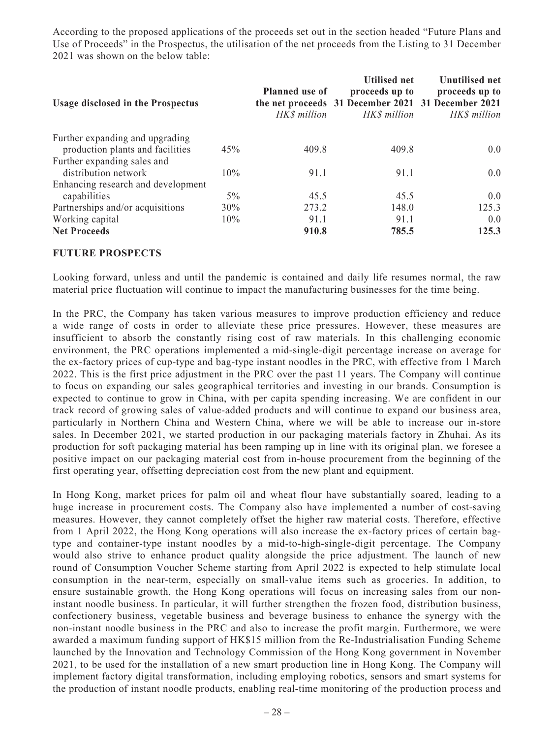According to the proposed applications of the proceeds set out in the section headed "Future Plans and Use of Proceeds" in the Prospectus, the utilisation of the net proceeds from the Listing to 31 December 2021 was shown on the below table:

| <b>Usage disclosed in the Prospectus</b> |        | <b>Planned</b> use of<br>HK\$ million | <b>Utilised net</b><br>proceeds up to<br>the net proceeds 31 December 2021 31 December 2021<br>HK\$ million | Unutilised net<br>proceeds up to<br>HK\$ million |
|------------------------------------------|--------|---------------------------------------|-------------------------------------------------------------------------------------------------------------|--------------------------------------------------|
| Further expanding and upgrading          |        |                                       |                                                                                                             |                                                  |
| production plants and facilities         | 45%    | 409.8                                 | 409.8                                                                                                       | 0.0                                              |
| Further expanding sales and              |        |                                       |                                                                                                             |                                                  |
| distribution network                     | 10%    | 91.1                                  | 91.1                                                                                                        | 0.0                                              |
| Enhancing research and development       |        |                                       |                                                                                                             |                                                  |
| capabilities                             | $5\%$  | 45.5                                  | 45.5                                                                                                        | 0.0                                              |
| Partnerships and/or acquisitions         | $30\%$ | 273.2                                 | 148.0                                                                                                       | 125.3                                            |
| Working capital                          | 10%    | 91.1                                  | 91.1                                                                                                        | 0.0                                              |
| <b>Net Proceeds</b>                      |        | 910.8                                 | 785.5                                                                                                       | 125.3                                            |

## **FUTURE PROSPECTS**

Looking forward, unless and until the pandemic is contained and daily life resumes normal, the raw material price fluctuation will continue to impact the manufacturing businesses for the time being.

In the PRC, the Company has taken various measures to improve production efficiency and reduce a wide range of costs in order to alleviate these price pressures. However, these measures are insufficient to absorb the constantly rising cost of raw materials. In this challenging economic environment, the PRC operations implemented a mid-single-digit percentage increase on average for the ex-factory prices of cup-type and bag-type instant noodles in the PRC, with effective from 1 March 2022. This is the first price adjustment in the PRC over the past 11 years. The Company will continue to focus on expanding our sales geographical territories and investing in our brands. Consumption is expected to continue to grow in China, with per capita spending increasing. We are confident in our track record of growing sales of value-added products and will continue to expand our business area, particularly in Northern China and Western China, where we will be able to increase our in-store sales. In December 2021, we started production in our packaging materials factory in Zhuhai. As its production for soft packaging material has been ramping up in line with its original plan, we foresee a positive impact on our packaging material cost from in-house procurement from the beginning of the first operating year, offsetting depreciation cost from the new plant and equipment.

In Hong Kong, market prices for palm oil and wheat flour have substantially soared, leading to a huge increase in procurement costs. The Company also have implemented a number of cost-saving measures. However, they cannot completely offset the higher raw material costs. Therefore, effective from 1 April 2022, the Hong Kong operations will also increase the ex-factory prices of certain bagtype and container-type instant noodles by a mid-to-high-single-digit percentage. The Company would also strive to enhance product quality alongside the price adjustment. The launch of new round of Consumption Voucher Scheme starting from April 2022 is expected to help stimulate local consumption in the near-term, especially on small-value items such as groceries. In addition, to ensure sustainable growth, the Hong Kong operations will focus on increasing sales from our noninstant noodle business. In particular, it will further strengthen the frozen food, distribution business, confectionery business, vegetable business and beverage business to enhance the synergy with the non-instant noodle business in the PRC and also to increase the profit margin. Furthermore, we were awarded a maximum funding support of HK\$15 million from the Re-Industrialisation Funding Scheme launched by the Innovation and Technology Commission of the Hong Kong government in November 2021, to be used for the installation of a new smart production line in Hong Kong. The Company will implement factory digital transformation, including employing robotics, sensors and smart systems for the production of instant noodle products, enabling real-time monitoring of the production process and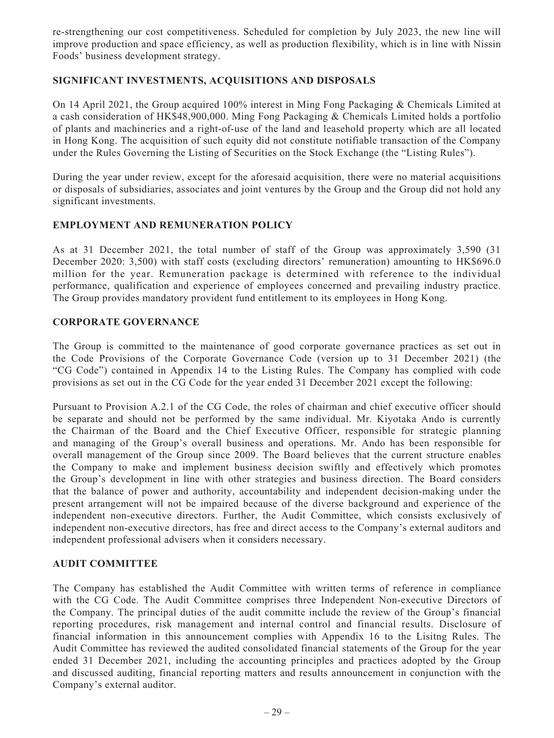re-strengthening our cost competitiveness. Scheduled for completion by July 2023, the new line will improve production and space efficiency, as well as production flexibility, which is in line with Nissin Foods' business development strategy.

## **SIGNIFICANT INVESTMENTS, ACQUISITIONS AND DISPOSALS**

On 14 April 2021, the Group acquired 100% interest in Ming Fong Packaging & Chemicals Limited at a cash consideration of HK\$48,900,000. Ming Fong Packaging & Chemicals Limited holds a portfolio of plants and machineries and a right-of-use of the land and leasehold property which are all located in Hong Kong. The acquisition of such equity did not constitute notifiable transaction of the Company under the Rules Governing the Listing of Securities on the Stock Exchange (the "Listing Rules").

During the year under review, except for the aforesaid acquisition, there were no material acquisitions or disposals of subsidiaries, associates and joint ventures by the Group and the Group did not hold any significant investments.

## **EMPLOYMENT AND REMUNERATION POLICY**

As at 31 December 2021, the total number of staff of the Group was approximately 3,590 (31 December 2020: 3,500) with staff costs (excluding directors' remuneration) amounting to HK\$696.0 million for the year. Remuneration package is determined with reference to the individual performance, qualification and experience of employees concerned and prevailing industry practice. The Group provides mandatory provident fund entitlement to its employees in Hong Kong.

## **CORPORATE GOVERNANCE**

The Group is committed to the maintenance of good corporate governance practices as set out in the Code Provisions of the Corporate Governance Code (version up to 31 December 2021) (the "CG Code") contained in Appendix 14 to the Listing Rules. The Company has complied with code provisions as set out in the CG Code for the year ended 31 December 2021 except the following:

Pursuant to Provision A.2.1 of the CG Code, the roles of chairman and chief executive officer should be separate and should not be performed by the same individual. Mr. Kiyotaka Ando is currently the Chairman of the Board and the Chief Executive Officer, responsible for strategic planning and managing of the Group's overall business and operations. Mr. Ando has been responsible for overall management of the Group since 2009. The Board believes that the current structure enables the Company to make and implement business decision swiftly and effectively which promotes the Group's development in line with other strategies and business direction. The Board considers that the balance of power and authority, accountability and independent decision-making under the present arrangement will not be impaired because of the diverse background and experience of the independent non-executive directors. Further, the Audit Committee, which consists exclusively of independent non-executive directors, has free and direct access to the Company's external auditors and independent professional advisers when it considers necessary.

## **AUDIT COMMITTEE**

The Company has established the Audit Committee with written terms of reference in compliance with the CG Code. The Audit Committee comprises three Independent Non-executive Directors of the Company. The principal duties of the audit committe include the review of the Group's financial reporting procedures, risk management and internal control and financial results. Disclosure of financial information in this announcement complies with Appendix 16 to the Lisitng Rules. The Audit Committee has reviewed the audited consolidated financial statements of the Group for the year ended 31 December 2021, including the accounting principles and practices adopted by the Group and discussed auditing, financial reporting matters and results announcement in conjunction with the Company's external auditor.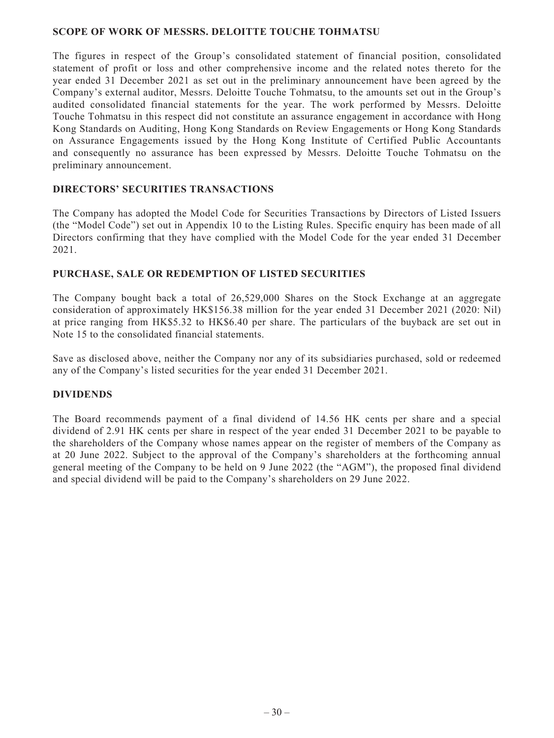## **SCOPE OF WORK OF MESSRS. DELOITTE TOUCHE TOHMATSU**

The figures in respect of the Group's consolidated statement of financial position, consolidated statement of profit or loss and other comprehensive income and the related notes thereto for the year ended 31 December 2021 as set out in the preliminary announcement have been agreed by the Company's external auditor, Messrs. Deloitte Touche Tohmatsu, to the amounts set out in the Group's audited consolidated financial statements for the year. The work performed by Messrs. Deloitte Touche Tohmatsu in this respect did not constitute an assurance engagement in accordance with Hong Kong Standards on Auditing, Hong Kong Standards on Review Engagements or Hong Kong Standards on Assurance Engagements issued by the Hong Kong Institute of Certified Public Accountants and consequently no assurance has been expressed by Messrs. Deloitte Touche Tohmatsu on the preliminary announcement.

## **DIRECTORS' SECURITIES TRANSACTIONS**

The Company has adopted the Model Code for Securities Transactions by Directors of Listed Issuers (the "Model Code") set out in Appendix 10 to the Listing Rules. Specific enquiry has been made of all Directors confirming that they have complied with the Model Code for the year ended 31 December 2021.

## **PURCHASE, SALE OR REDEMPTION OF LISTED SECURITIES**

The Company bought back a total of 26,529,000 Shares on the Stock Exchange at an aggregate consideration of approximately HK\$156.38 million for the year ended 31 December 2021 (2020: Nil) at price ranging from HK\$5.32 to HK\$6.40 per share. The particulars of the buyback are set out in Note 15 to the consolidated financial statements.

Save as disclosed above, neither the Company nor any of its subsidiaries purchased, sold or redeemed any of the Company's listed securities for the year ended 31 December 2021.

## **DIVIDENDS**

The Board recommends payment of a final dividend of 14.56 HK cents per share and a special dividend of 2.91 HK cents per share in respect of the year ended 31 December 2021 to be payable to the shareholders of the Company whose names appear on the register of members of the Company as at 20 June 2022. Subject to the approval of the Company's shareholders at the forthcoming annual general meeting of the Company to be held on 9 June 2022 (the "AGM"), the proposed final dividend and special dividend will be paid to the Company's shareholders on 29 June 2022.